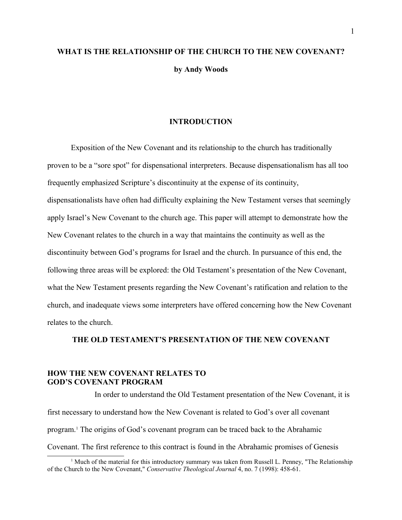# **WHAT IS THE RELATIONSHIP OF THE CHURCH TO THE NEW COVENANT? by Andy Woods**

## **INTRODUCTION**

Exposition of the New Covenant and its relationship to the church has traditionally proven to be a "sore spot" for dispensational interpreters. Because dispensationalism has all too frequently emphasized Scripture's discontinuity at the expense of its continuity, dispensationalists have often had difficulty explaining the New Testament verses that seemingly apply Israel's New Covenant to the church age. This paper will attempt to demonstrate how the New Covenant relates to the church in a way that maintains the continuity as well as the discontinuity between God's programs for Israel and the church. In pursuance of this end, the following three areas will be explored: the Old Testament's presentation of the New Covenant, what the New Testament presents regarding the New Covenant's ratification and relation to the church, and inadequate views some interpreters have offered concerning how the New Covenant relates to the church.

# **THE OLD TESTAMENT'S PRESENTATION OF THE NEW COVENANT**

# **HOW THE NEW COVENANT RELATES TO GOD'S COVENANT PROGRAM**

In order to understand the Old Testament presentation of the New Covenant, it is first necessary to understand how the New Covenant is related to God's over all covenant program.[1](#page-0-0) The origins of God's covenant program can be traced back to the Abrahamic Covenant. The first reference to this contract is found in the Abrahamic promises of Genesis

<span id="page-0-0"></span><sup>&</sup>lt;sup>1</sup> Much of the material for this introductory summary was taken from Russell L. Penney, "The Relationship of the Church to the New Covenant," *Conservative Theological Journal* 4, no. 7 (1998): 458-61.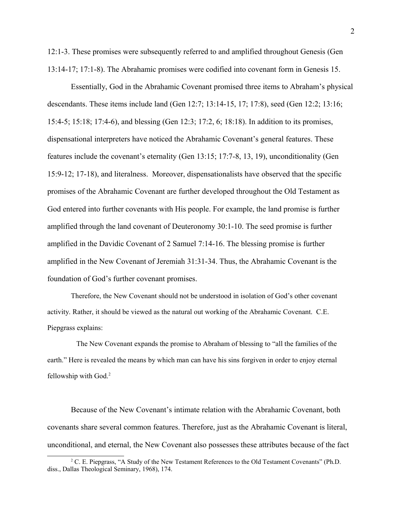12:1-3. These promises were subsequently referred to and amplified throughout Genesis (Gen 13:14-17; 17:1-8). The Abrahamic promises were codified into covenant form in Genesis 15.

Essentially, God in the Abrahamic Covenant promised three items to Abraham's physical descendants. These items include land (Gen 12:7; 13:14-15, 17; 17:8), seed (Gen 12:2; 13:16; 15:4-5; 15:18; 17:4-6), and blessing (Gen 12:3; 17:2, 6; 18:18). In addition to its promises, dispensational interpreters have noticed the Abrahamic Covenant's general features. These features include the covenant's eternality (Gen 13:15; 17:7-8, 13, 19), unconditionality (Gen 15:9-12; 17-18), and literalness. Moreover, dispensationalists have observed that the specific promises of the Abrahamic Covenant are further developed throughout the Old Testament as God entered into further covenants with His people. For example, the land promise is further amplified through the land covenant of Deuteronomy 30:1-10. The seed promise is further amplified in the Davidic Covenant of 2 Samuel 7:14-16. The blessing promise is further amplified in the New Covenant of Jeremiah 31:31-34. Thus, the Abrahamic Covenant is the foundation of God's further covenant promises.

Therefore, the New Covenant should not be understood in isolation of God's other covenant activity. Rather, it should be viewed as the natural out working of the Abrahamic Covenant. C.E. Piepgrass explains:

 The New Covenant expands the promise to Abraham of blessing to "all the families of the earth." Here is revealed the means by which man can have his sins forgiven in order to enjoy eternal fellowship with God.<sup>[2](#page-1-0)</sup>

Because of the New Covenant's intimate relation with the Abrahamic Covenant, both covenants share several common features. Therefore, just as the Abrahamic Covenant is literal, unconditional, and eternal, the New Covenant also possesses these attributes because of the fact

<span id="page-1-0"></span><sup>&</sup>lt;sup>2</sup> C. E. Piepgrass, "A Study of the New Testament References to the Old Testament Covenants" (Ph.D. diss., Dallas Theological Seminary, 1968), 174.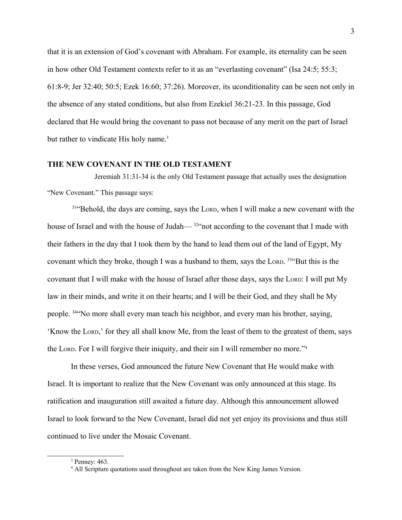that it is an extension of God's covenant with Abraham. For example, its eternality can be seen in how other Old Testament contexts refer to it as an "everlasting covenant" (Isa 24:5; 55:3; 61:8-9; Jer 32:40; 50:5; Ezek 16:60; 37:26). Moreover, its uconditionality can be seen not only in the absence of any stated conditions, but also from Ezekiel 36:21-23. In this passage, God declared that He would bring the covenant to pass not because of any merit on the part of Israel but rather to vindicate His holy name.<sup>[3](#page-2-0)</sup>

# **THE NEW COVENANT IN THE OLD TESTAMENT**

Jeremiah 31:31-34 is the only Old Testament passage that actually uses the designation "New Covenant." This passage says:

<sup>31"</sup>Behold, the days are coming, says the LORD, when I will make a new covenant with the house of Israel and with the house of Judah— <sup>32"</sup> not according to the covenant that I made with their fathers in the day that I took them by the hand to lead them out of the land of Egypt, My covenant which they broke, though I was a husband to them, says the LORD.  $33^{\circ}$ But this is the covenant that I will make with the house of Israel after those days, says the LORD: I will put My law in their minds, and write it on their hearts; and I will be their God, and they shall be My people. <sup>34</sup>"No more shall every man teach his neighbor, and every man his brother, saying, 'Know the LORD,' for they all shall know Me, from the least of them to the greatest of them, says the LORD. For I will forgive their iniquity, and their sin I will remember no more."[4](#page-2-1)

In these verses, God announced the future New Covenant that He would make with Israel. It is important to realize that the New Covenant was only announced at this stage. Its ratification and inauguration still awaited a future day. Although this announcement allowed Israel to look forward to the New Covenant, Israel did not yet enjoy its provisions and thus still continued to live under the Mosaic Covenant.

<span id="page-2-0"></span><sup>3</sup> Penney: 463.

<span id="page-2-1"></span><sup>&</sup>lt;sup>4</sup> All Scripture quotations used throughout are taken from the New King James Version.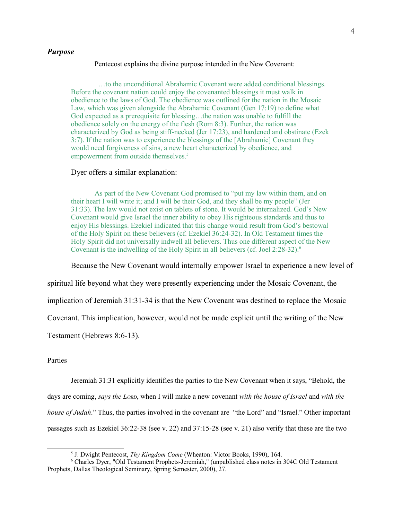#### *Purpose*

#### Pentecost explains the divine purpose intended in the New Covenant:

 …to the unconditional Abrahamic Covenant were added conditional blessings. Before the covenant nation could enjoy the covenanted blessings it must walk in obedience to the laws of God. The obedience was outlined for the nation in the Mosaic Law, which was given alongside the Abrahamic Covenant (Gen 17:19) to define what God expected as a prerequisite for blessing…the nation was unable to fulfill the obedience solely on the energy of the flesh (Rom 8:3). Further, the nation was characterized by God as being stiff-necked (Jer 17:23), and hardened and obstinate (Ezek 3:7). If the nation was to experience the blessings of the [Abrahamic] Covenant they would need forgiveness of sins, a new heart characterized by obedience, and empowerment from outside themselves.<sup>[5](#page-3-0)</sup>

#### Dyer offers a similar explanation:

As part of the New Covenant God promised to "put my law within them, and on their heart I will write it; and I will be their God, and they shall be my people" (Jer 31:33). The law would not exist on tablets of stone. It would be internalized. God's New Covenant would give Israel the inner ability to obey His righteous standards and thus to enjoy His blessings. Ezekiel indicated that this change would result from God's bestowal of the Holy Spirit on these believers (cf. Ezekiel 36:24-32). In Old Testament times the Holy Spirit did not universally indwell all believers. Thus one different aspect of the New Covenant is the indwelling of the Holy Spirit in all believers (cf. Joel 2:28-32).[6](#page-3-1)

Because the New Covenant would internally empower Israel to experience a new level of

spiritual life beyond what they were presently experiencing under the Mosaic Covenant, the

implication of Jeremiah 31:31-34 is that the New Covenant was destined to replace the Mosaic

Covenant. This implication, however, would not be made explicit until the writing of the New

Testament (Hebrews 8:6-13).

#### Parties

Jeremiah 31:31 explicitly identifies the parties to the New Covenant when it says, "Behold, the

days are coming, *says the LORD*, when I will make a new covenant *with the house of Israel* and *with the house of Judah*." Thus, the parties involved in the covenant are "the Lord" and "Israel." Other important passages such as Ezekiel 36:22-38 (see v. 22) and 37:15-28 (see v. 21) also verify that these are the two

<span id="page-3-1"></span><span id="page-3-0"></span><sup>5</sup> J. Dwight Pentecost, *Thy Kingdom Come* (Wheaton: Victor Books, 1990), 164.

<sup>6</sup> Charles Dyer, "Old Testament Prophets-Jeremiah," (unpublished class notes in 304C Old Testament Prophets, Dallas Theological Seminary, Spring Semester, 2000), 27.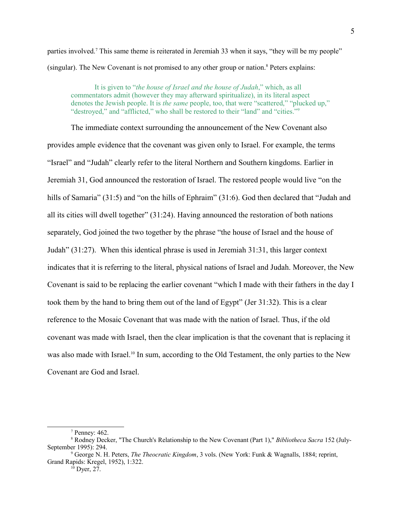parties involved.<sup>[7](#page-4-0)</sup> This same theme is reiterated in Jeremiah 33 when it says, "they will be my people" (singular). The New Covenant is not promised to any other group or nation.[8](#page-4-1) Peters explains:

It is given to "*the house of Israel and the house of Judah*," which, as all commentators admit (however they may afterward spiritualize), in its literal aspect denotes the Jewish people. It is *the same* people, too, that were "scattered," "plucked up," "destroyed," and "afflicted," who shall be restored to their "land" and "cities."<sup>[9](#page-4-2)</sup>

The immediate context surrounding the announcement of the New Covenant also provides ample evidence that the covenant was given only to Israel. For example, the terms "Israel" and "Judah" clearly refer to the literal Northern and Southern kingdoms. Earlier in Jeremiah 31, God announced the restoration of Israel. The restored people would live "on the hills of Samaria" (31:5) and "on the hills of Ephraim" (31:6). God then declared that "Judah and all its cities will dwell together" (31:24). Having announced the restoration of both nations separately, God joined the two together by the phrase "the house of Israel and the house of Judah" (31:27). When this identical phrase is used in Jeremiah 31:31, this larger context indicates that it is referring to the literal, physical nations of Israel and Judah. Moreover, the New Covenant is said to be replacing the earlier covenant "which I made with their fathers in the day I took them by the hand to bring them out of the land of Egypt" (Jer 31:32). This is a clear reference to the Mosaic Covenant that was made with the nation of Israel. Thus, if the old covenant was made with Israel, then the clear implication is that the covenant that is replacing it was also made with Israel.<sup>[10](#page-4-3)</sup> In sum, according to the Old Testament, the only parties to the New Covenant are God and Israel.

<span id="page-4-3"></span><span id="page-4-2"></span> $10^{\circ}$  Dyer, 27.

<span id="page-4-1"></span><span id="page-4-0"></span><sup>7</sup> Penney: 462.

<sup>8</sup> Rodney Decker, "The Church's Relationship to the New Covenant (Part 1)," *Bibliotheca Sacra* 152 (July-September 1995): 294.

<sup>9</sup> George N. H. Peters, *The Theocratic Kingdom*, 3 vols. (New York: Funk & Wagnalls, 1884; reprint, Grand Rapids: Kregel, 1952), 1:322.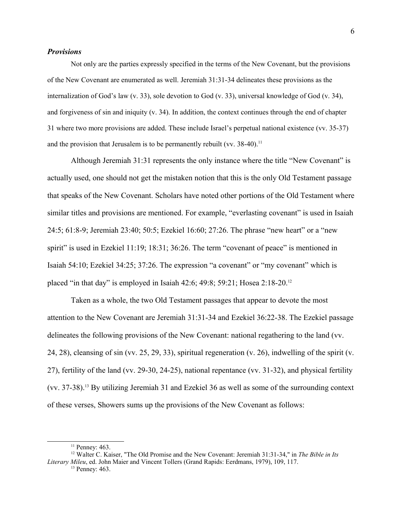## *Provisions*

Not only are the parties expressly specified in the terms of the New Covenant, but the provisions of the New Covenant are enumerated as well. Jeremiah 31:31-34 delineates these provisions as the internalization of God's law (v. 33), sole devotion to God (v. 33), universal knowledge of God (v. 34), and forgiveness of sin and iniquity (v. 34). In addition, the context continues through the end of chapter 31 where two more provisions are added. These include Israel's perpetual national existence (vv. 35-37) and the provision that Jerusalem is to be permanently rebuilt (vv.  $38-40$ ).<sup>[11](#page-5-0)</sup>

Although Jeremiah 31:31 represents the only instance where the title "New Covenant" is actually used, one should not get the mistaken notion that this is the only Old Testament passage that speaks of the New Covenant. Scholars have noted other portions of the Old Testament where similar titles and provisions are mentioned. For example, "everlasting covenant" is used in Isaiah 24:5; 61:8-9; Jeremiah 23:40; 50:5; Ezekiel 16:60; 27:26. The phrase "new heart" or a "new spirit" is used in Ezekiel 11:19; 18:31; 36:26. The term "covenant of peace" is mentioned in Isaiah 54:10; Ezekiel 34:25; 37:26. The expression "a covenant" or "my covenant" which is placed "in that day" is employed in Isaiah 42:6; 49:8; 59:21; Hosea 2:18-20.<sup>[12](#page-5-1)</sup>

Taken as a whole, the two Old Testament passages that appear to devote the most attention to the New Covenant are Jeremiah 31:31-34 and Ezekiel 36:22-38. The Ezekiel passage delineates the following provisions of the New Covenant: national regathering to the land (vv. 24, 28), cleansing of sin (vv. 25, 29, 33), spiritual regeneration (v. 26), indwelling of the spirit (v. 27), fertility of the land (vv. 29-30, 24-25), national repentance (vv. 31-32), and physical fertility (vv. 37-38).[13](#page-5-2) By utilizing Jeremiah 31 and Ezekiel 36 as well as some of the surrounding context of these verses, Showers sums up the provisions of the New Covenant as follows:

<span id="page-5-1"></span><span id="page-5-0"></span> $11$  Penney: 463.

<sup>12</sup> Walter C. Kaiser, "The Old Promise and the New Covenant: Jeremiah 31:31-34," in *The Bible in Its Literary Mileu*, ed. John Maier and Vincent Tollers (Grand Rapids: Eerdmans, 1979), 109, 117.

<span id="page-5-2"></span><sup>&</sup>lt;sup>13</sup> Penney: 463.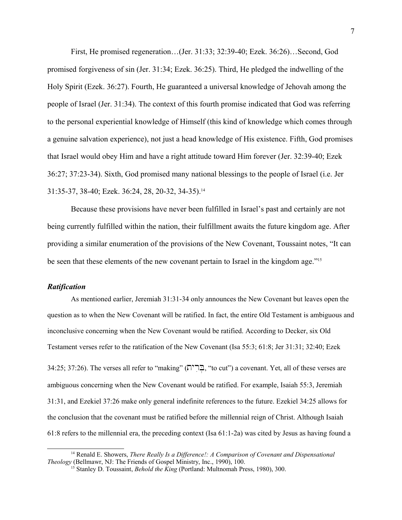First, He promised regeneration…(Jer. 31:33; 32:39-40; Ezek. 36:26)…Second, God promised forgiveness of sin (Jer. 31:34; Ezek. 36:25). Third, He pledged the indwelling of the Holy Spirit (Ezek. 36:27). Fourth, He guaranteed a universal knowledge of Jehovah among the people of Israel (Jer. 31:34). The context of this fourth promise indicated that God was referring to the personal experiential knowledge of Himself (this kind of knowledge which comes through a genuine salvation experience), not just a head knowledge of His existence. Fifth, God promises that Israel would obey Him and have a right attitude toward Him forever (Jer. 32:39-40; Ezek 36:27; 37:23-34). Sixth, God promised many national blessings to the people of Israel (i.e. Jer 31:35-37, 38-40; Ezek. 36:24, 28, 20-32, 34-35).[14](#page-6-0)

Because these provisions have never been fulfilled in Israel's past and certainly are not being currently fulfilled within the nation, their fulfillment awaits the future kingdom age. After providing a similar enumeration of the provisions of the New Covenant, Toussaint notes, "It can be seen that these elements of the new covenant pertain to Israel in the kingdom age."<sup>[15](#page-6-1)</sup>

# *Ratification*

As mentioned earlier, Jeremiah 31:31-34 only announces the New Covenant but leaves open the question as to when the New Covenant will be ratified. In fact, the entire Old Testament is ambiguous and inconclusive concerning when the New Covenant would be ratified. According to Decker, six Old Testament verses refer to the ratification of the New Covenant (Isa 55:3; 61:8; Jer 31:31; 32:40; Ezek 34:25; 37:26). The verses all refer to "making" (בְּרִית, "to cut") a covenant. Yet, all of these verses are ambiguous concerning when the New Covenant would be ratified. For example, Isaiah 55:3, Jeremiah 31:31, and Ezekiel 37:26 make only general indefinite references to the future. Ezekiel 34:25 allows for the conclusion that the covenant must be ratified before the millennial reign of Christ. Although Isaiah

61:8 refers to the millennial era, the preceding context (Isa 61:1-2a) was cited by Jesus as having found a

<sup>14</sup> Renald E. Showers, *There Really Is a Difference!: A Comparison of Covenant and Dispensational Theology* (Bellmawr, NJ: The Friends of Gospel Ministry, Inc., 1990), 100.

<span id="page-6-1"></span><span id="page-6-0"></span><sup>15</sup> Stanley D. Toussaint, *Behold the King* (Portland: Multnomah Press, 1980), 300.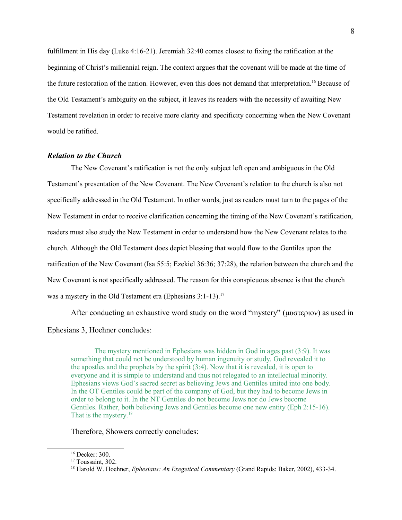fulfillment in His day (Luke 4:16-21). Jeremiah 32:40 comes closest to fixing the ratification at the beginning of Christ's millennial reign. The context argues that the covenant will be made at the time of the future restoration of the nation. However, even this does not demand that interpretation.[16](#page-7-0) Because of the Old Testament's ambiguity on the subject, it leaves its readers with the necessity of awaiting New Testament revelation in order to receive more clarity and specificity concerning when the New Covenant would be ratified.

# *Relation to the Church*

The New Covenant's ratification is not the only subject left open and ambiguous in the Old Testament's presentation of the New Covenant. The New Covenant's relation to the church is also not specifically addressed in the Old Testament. In other words, just as readers must turn to the pages of the New Testament in order to receive clarification concerning the timing of the New Covenant's ratification, readers must also study the New Testament in order to understand how the New Covenant relates to the church. Although the Old Testament does depict blessing that would flow to the Gentiles upon the ratification of the New Covenant (Isa 55:5; Ezekiel 36:36; 37:28), the relation between the church and the New Covenant is not specifically addressed. The reason for this conspicuous absence is that the church was a mystery in the Old Testament era (Ephesians 3:1-13).<sup>[17](#page-7-1)</sup>

After conducting an exhaustive word study on the word "mystery" ( $\mu\nu\sigma\tau\epsilon\rho\iota\sigma\nu$ ) as used in Ephesians 3, Hoehner concludes:

The mystery mentioned in Ephesians was hidden in God in ages past (3:9). It was something that could not be understood by human ingenuity or study. God revealed it to the apostles and the prophets by the spirit (3:4). Now that it is revealed, it is open to everyone and it is simple to understand and thus not relegated to an intellectual minority. Ephesians views God's sacred secret as believing Jews and Gentiles united into one body. In the OT Gentiles could be part of the company of God, but they had to become Jews in order to belong to it. In the NT Gentiles do not become Jews nor do Jews become Gentiles. Rather, both believing Jews and Gentiles become one new entity (Eph 2:15-16). That is the mystery.<sup>[18](#page-7-2)</sup>

Therefore, Showers correctly concludes:

<span id="page-7-0"></span><sup>16</sup> Decker: 300.

<span id="page-7-1"></span><sup>&</sup>lt;sup>17</sup> Toussaint, 302.

<span id="page-7-2"></span><sup>18</sup> Harold W. Hoehner, *Ephesians: An Exegetical Commentary* (Grand Rapids: Baker, 2002), 433-34.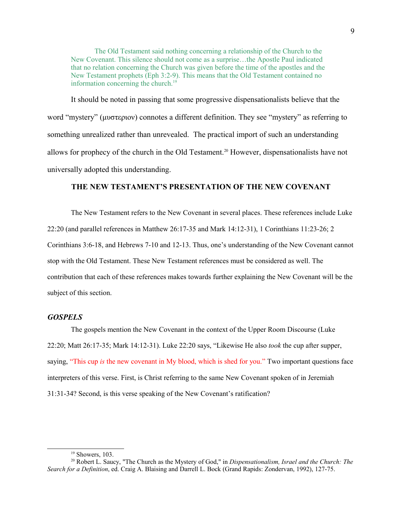The Old Testament said nothing concerning a relationship of the Church to the New Covenant. This silence should not come as a surprise…the Apostle Paul indicated that no relation concerning the Church was given before the time of the apostles and the New Testament prophets (Eph 3:2-9). This means that the Old Testament contained no information concerning the church. $19$ 

It should be noted in passing that some progressive dispensationalists believe that the word "mystery" ( $\mu$   $\sigma$   $\tau$   $\epsilon$ <sub>p</sub>)) connotes a different definition. They see "mystery" as referring to something unrealized rather than unrevealed. The practical import of such an understanding allows for prophecy of the church in the Old Testament.[20](#page-8-1) However, dispensationalists have not universally adopted this understanding.

# **THE NEW TESTAMENT'S PRESENTATION OF THE NEW COVENANT**

The New Testament refers to the New Covenant in several places. These references include Luke 22:20 (and parallel references in Matthew 26:17-35 and Mark 14:12-31), 1 Corinthians 11:23-26; 2 Corinthians 3:6-18, and Hebrews 7-10 and 12-13. Thus, one's understanding of the New Covenant cannot stop with the Old Testament. These New Testament references must be considered as well. The contribution that each of these references makes towards further explaining the New Covenant will be the subject of this section.

# *GOSPELS*

The gospels mention the New Covenant in the context of the Upper Room Discourse (Luke 22:20; Matt 26:17-35; Mark 14:12-31). Luke 22:20 says, "Likewise He also *took* the cup after supper, saying, "This cup *is* the new covenant in My blood, which is shed for you." Two important questions face interpreters of this verse. First, is Christ referring to the same New Covenant spoken of in Jeremiah 31:31-34? Second, is this verse speaking of the New Covenant's ratification?

<span id="page-8-1"></span><span id="page-8-0"></span> $19$  Showers, 103.

<sup>20</sup> Robert L. Saucy, "The Church as the Mystery of God," in *Dispensationalism, Israel and the Church: The Search for a Definition*, ed. Craig A. Blaising and Darrell L. Bock (Grand Rapids: Zondervan, 1992), 127-75.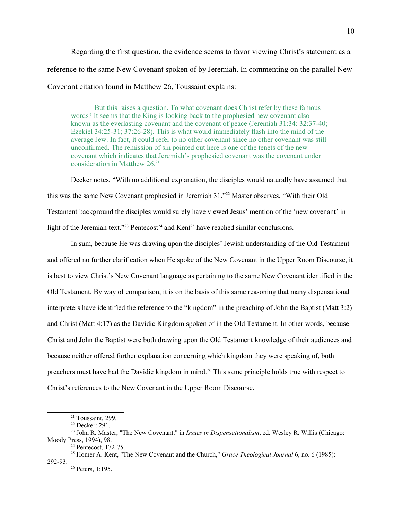Regarding the first question, the evidence seems to favor viewing Christ's statement as a

reference to the same New Covenant spoken of by Jeremiah. In commenting on the parallel New

Covenant citation found in Matthew 26, Toussaint explains:

But this raises a question. To what covenant does Christ refer by these famous words? It seems that the King is looking back to the prophesied new covenant also known as the everlasting covenant and the covenant of peace (Jeremiah 31:34; 32:37-40; Ezekiel 34:25-31; 37:26-28). This is what would immediately flash into the mind of the average Jew. In fact, it could refer to no other covenant since no other covenant was still unconfirmed. The remission of sin pointed out here is one of the tenets of the new covenant which indicates that Jeremiah's prophesied covenant was the covenant under consideration in Matthew  $26.^{21}$  $26.^{21}$  $26.^{21}$ 

Decker notes, "With no additional explanation, the disciples would naturally have assumed that this was the same New Covenant prophesied in Jeremiah 31."[22](#page-9-1) Master observes, "With their Old Testament background the disciples would surely have viewed Jesus' mention of the 'new covenant' in light of the Jeremiah text."<sup>[23](#page-9-2)</sup> Pentecost<sup>[24](#page-9-3)</sup> and Kent<sup>[25](#page-9-4)</sup> have reached similar conclusions.

In sum, because He was drawing upon the disciples' Jewish understanding of the Old Testament and offered no further clarification when He spoke of the New Covenant in the Upper Room Discourse, it is best to view Christ's New Covenant language as pertaining to the same New Covenant identified in the Old Testament. By way of comparison, it is on the basis of this same reasoning that many dispensational interpreters have identified the reference to the "kingdom" in the preaching of John the Baptist (Matt 3:2) and Christ (Matt 4:17) as the Davidic Kingdom spoken of in the Old Testament. In other words, because Christ and John the Baptist were both drawing upon the Old Testament knowledge of their audiences and because neither offered further explanation concerning which kingdom they were speaking of, both preachers must have had the Davidic kingdom in mind.<sup>[26](#page-9-5)</sup> This same principle holds true with respect to Christ's references to the New Covenant in the Upper Room Discourse.

10

<span id="page-9-0"></span><sup>21</sup> Toussaint, 299.

<span id="page-9-2"></span><span id="page-9-1"></span><sup>22</sup> Decker: 291.

<sup>23</sup> John R. Master, "The New Covenant," in *Issues in Dispensationalism*, ed. Wesley R. Willis (Chicago: Moody Press, 1994), 98.

<span id="page-9-4"></span><span id="page-9-3"></span><sup>24</sup> Pentecost, 172-75.

<sup>25</sup> Homer A. Kent, "The New Covenant and the Church," *Grace Theological Journal* 6, no. 6 (1985):

<sup>292-93.</sup>

<span id="page-9-5"></span><sup>26</sup> Peters, 1:195.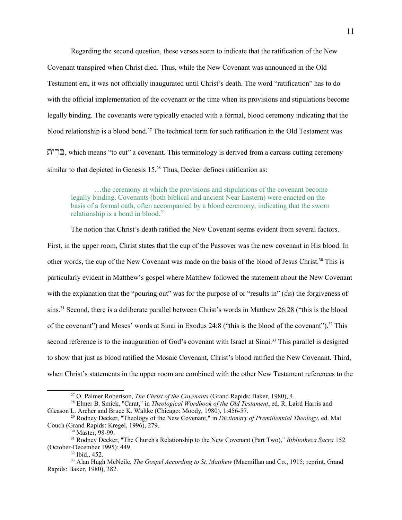Regarding the second question, these verses seem to indicate that the ratification of the New Covenant transpired when Christ died. Thus, while the New Covenant was announced in the Old Testament era, it was not officially inaugurated until Christ's death. The word "ratification" has to do with the official implementation of the covenant or the time when its provisions and stipulations become legally binding. The covenants were typically enacted with a formal, blood ceremony indicating that the blood relationship is a blood bond.[27](#page-10-0) The technical term for such ratification in the Old Testament was  $\Xi$ . which means "to cut" a covenant. This terminology is derived from a carcass cutting ceremony similar to that depicted in Genesis 15.<sup>[28](#page-10-1)</sup> Thus, Decker defines ratification as:

…the ceremony at which the provisions and stipulations of the covenant become legally binding. Covenants (both biblical and ancient Near Eastern) were enacted on the basis of a formal oath, often accompanied by a blood ceremony, indicating that the sworn relationship is a bond in blood.<sup>[29](#page-10-2)</sup>

The notion that Christ's death ratified the New Covenant seems evident from several factors. First, in the upper room, Christ states that the cup of the Passover was the new covenant in His blood. In other words, the cup of the New Covenant was made on the basis of the blood of Jesus Christ.[30](#page-10-3) This is particularly evident in Matthew's gospel where Matthew followed the statement about the New Covenant with the explanation that the "pouring out" was for the purpose of or "results in" ( $\epsilon$ is) the forgiveness of sins.<sup>[31](#page-10-4)</sup> Second, there is a deliberate parallel between Christ's words in Matthew 26:28 ("this is the blood of the covenant") and Moses' words at Sinai in Exodus 24:8 ("this is the blood of the covenant").<sup>[32](#page-10-5)</sup> This second reference is to the inauguration of God's covenant with Israel at Sinai.<sup>[33](#page-10-6)</sup> This parallel is designed to show that just as blood ratified the Mosaic Covenant, Christ's blood ratified the New Covenant. Third, when Christ's statements in the upper room are combined with the other New Testament references to the

<span id="page-10-1"></span><span id="page-10-0"></span><sup>27</sup> O. Palmer Robertson, *The Christ of the Covenants* (Grand Rapids: Baker, 1980), 4.

<sup>28</sup> Elmer B. Smick, "Carat," in *Theological Wordbook of the Old Testament*, ed. R. Laird Harris and Gleason L. Archer and Bruce K. Waltke (Chicago: Moody, 1980), 1:456-57.

<sup>29</sup> Rodney Decker, "Theology of the New Covenant," in *Dictionary of Premillennial Theology*, ed. Mal Couch (Grand Rapids: Kregel, 1996), 279.

<span id="page-10-4"></span><span id="page-10-3"></span><span id="page-10-2"></span><sup>30</sup> Master, 98-99.

<sup>31</sup> Rodney Decker, "The Church's Relationship to the New Covenant (Part Two)," *Bibliotheca Sacra* 152 (October-December 1995): 449.

<span id="page-10-6"></span><span id="page-10-5"></span> $32$  Ibid., 452.

<sup>33</sup> Alan Hugh McNeile, *The Gospel According to St. Matthew* (Macmillan and Co., 1915; reprint, Grand Rapids: Baker, 1980), 382.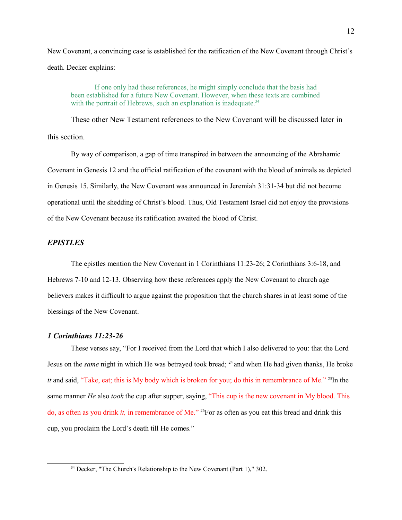New Covenant, a convincing case is established for the ratification of the New Covenant through Christ's death. Decker explains:

If one only had these references, he might simply conclude that the basis had been established for a future New Covenant. However, when these texts are combined with the portrait of Hebrews, such an explanation is inadequate.<sup>[34](#page-11-0)</sup>

These other New Testament references to the New Covenant will be discussed later in this section.

By way of comparison, a gap of time transpired in between the announcing of the Abrahamic Covenant in Genesis 12 and the official ratification of the covenant with the blood of animals as depicted in Genesis 15. Similarly, the New Covenant was announced in Jeremiah 31:31-34 but did not become operational until the shedding of Christ's blood. Thus, Old Testament Israel did not enjoy the provisions of the New Covenant because its ratification awaited the blood of Christ.

# *EPISTLES*

The epistles mention the New Covenant in 1 Corinthians 11:23-26; 2 Corinthians 3:6-18, and Hebrews 7-10 and 12-13. Observing how these references apply the New Covenant to church age believers makes it difficult to argue against the proposition that the church shares in at least some of the blessings of the New Covenant.

# *1 Corinthians 11:23-26*

These verses say, "For I received from the Lord that which I also delivered to you: that the Lord Jesus on the *same* night in which He was betrayed took bread; <sup>24</sup> and when He had given thanks, He broke *it* and said, "Take, eat; this is My body which is broken for you; do this in remembrance of Me." <sup>25</sup>In the same manner *He* also *took* the cup after supper, saying, "This cup is the new covenant in My blood. This do, as often as you drink *it,* in remembrance of Me." <sup>26</sup>For as often as you eat this bread and drink this cup, you proclaim the Lord's death till He comes."

<span id="page-11-0"></span><sup>34</sup> Decker, "The Church's Relationship to the New Covenant (Part 1)," 302.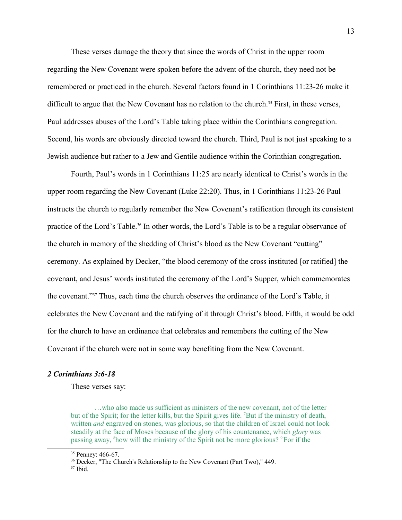These verses damage the theory that since the words of Christ in the upper room regarding the New Covenant were spoken before the advent of the church, they need not be remembered or practiced in the church. Several factors found in 1 Corinthians 11:23-26 make it difficult to argue that the New Covenant has no relation to the church.<sup>[35](#page-12-0)</sup> First, in these verses, Paul addresses abuses of the Lord's Table taking place within the Corinthians congregation. Second, his words are obviously directed toward the church. Third, Paul is not just speaking to a Jewish audience but rather to a Jew and Gentile audience within the Corinthian congregation.

Fourth, Paul's words in 1 Corinthians 11:25 are nearly identical to Christ's words in the upper room regarding the New Covenant (Luke 22:20). Thus, in 1 Corinthians 11:23-26 Paul instructs the church to regularly remember the New Covenant's ratification through its consistent practice of the Lord's Table.<sup>[36](#page-12-1)</sup> In other words, the Lord's Table is to be a regular observance of the church in memory of the shedding of Christ's blood as the New Covenant "cutting" ceremony. As explained by Decker, "the blood ceremony of the cross instituted [or ratified] the covenant, and Jesus' words instituted the ceremony of the Lord's Supper, which commemorates the covenant."[37](#page-12-2) Thus, each time the church observes the ordinance of the Lord's Table, it celebrates the New Covenant and the ratifying of it through Christ's blood. Fifth, it would be odd for the church to have an ordinance that celebrates and remembers the cutting of the New Covenant if the church were not in some way benefiting from the New Covenant.

#### *2 Corinthians 3:6-18*

These verses say:

…who also made us sufficient as ministers of the new covenant, not of the letter but of the Spirit; for the letter kills, but the Spirit gives life. <sup>7</sup>But if the ministry of death, written *and* engraved on stones, was glorious, so that the children of Israel could not look steadily at the face of Moses because of the glory of his countenance, which *glory* was passing away, <sup>8</sup>how will the ministry of the Spirit not be more glorious? <sup>9</sup> For if the

<span id="page-12-2"></span> $37$  Ibid.

<span id="page-12-0"></span><sup>&</sup>lt;sup>35</sup> Penney: 466-67.

<span id="page-12-1"></span><sup>36</sup> Decker, "The Church's Relationship to the New Covenant (Part Two)," 449.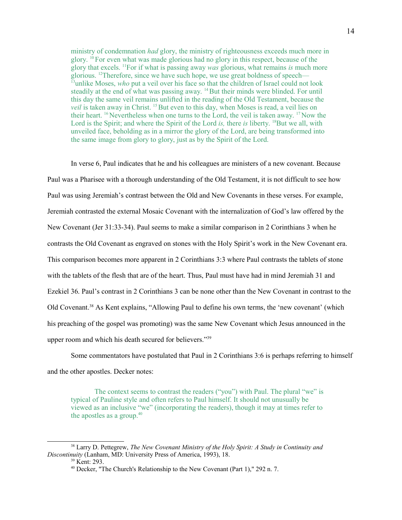ministry of condemnation *had* glory, the ministry of righteousness exceeds much more in glory.  $^{10}$  For even what was made glorious had no glory in this respect, because of the glory that excels. <sup>11</sup>For if what is passing away *was* glorious, what remains *is* much more glorious. <sup>12</sup>Therefore, since we have such hope, we use great boldness of speech-<sup>13</sup>unlike Moses, *who* put a veil over his face so that the children of Israel could not look steadily at the end of what was passing away.  $^{14}$  But their minds were blinded. For until this day the same veil remains unlifted in the reading of the Old Testament, because the *veil* is taken away in Christ. <sup>15</sup> But even to this day, when Moses is read, a veil lies on their heart. <sup>16</sup> Nevertheless when one turns to the Lord, the veil is taken away. <sup>17</sup> Now the Lord is the Spirit; and where the Spirit of the Lord *is*, there *is* liberty. <sup>18</sup>But we all, with unveiled face, beholding as in a mirror the glory of the Lord, are being transformed into the same image from glory to glory, just as by the Spirit of the Lord.

In verse 6, Paul indicates that he and his colleagues are ministers of a new covenant. Because Paul was a Pharisee with a thorough understanding of the Old Testament, it is not difficult to see how Paul was using Jeremiah's contrast between the Old and New Covenants in these verses. For example, Jeremiah contrasted the external Mosaic Covenant with the internalization of God's law offered by the New Covenant (Jer 31:33-34). Paul seems to make a similar comparison in 2 Corinthians 3 when he contrasts the Old Covenant as engraved on stones with the Holy Spirit's work in the New Covenant era. This comparison becomes more apparent in 2 Corinthians 3:3 where Paul contrasts the tablets of stone with the tablets of the flesh that are of the heart. Thus, Paul must have had in mind Jeremiah 31 and Ezekiel 36. Paul's contrast in 2 Corinthians 3 can be none other than the New Covenant in contrast to the Old Covenant.<sup>[38](#page-13-0)</sup> As Kent explains, "Allowing Paul to define his own terms, the 'new covenant' (which his preaching of the gospel was promoting) was the same New Covenant which Jesus announced in the upper room and which his death secured for believers."<sup>[39](#page-13-1)</sup>

Some commentators have postulated that Paul in 2 Corinthians 3:6 is perhaps referring to himself and the other apostles. Decker notes:

The context seems to contrast the readers ("you") with Paul. The plural "we" is typical of Pauline style and often refers to Paul himself. It should not unusually be viewed as an inclusive "we" (incorporating the readers), though it may at times refer to the apostles as a group. $40$ 

<sup>38</sup> Larry D. Pettegrew, *The New Covenant Ministry of the Holy Spirit: A Study in Continuity and Discontinuity* (Lanham, MD: University Press of America, 1993), 18.

<span id="page-13-1"></span><span id="page-13-0"></span><sup>39</sup> Kent: 293.

<span id="page-13-2"></span><sup>40</sup> Decker, "The Church's Relationship to the New Covenant (Part 1)," 292 n. 7.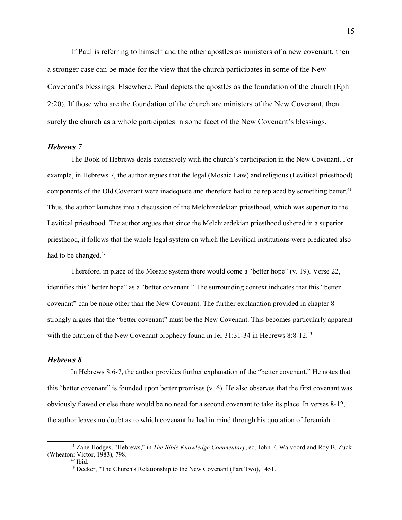If Paul is referring to himself and the other apostles as ministers of a new covenant, then a stronger case can be made for the view that the church participates in some of the New Covenant's blessings. Elsewhere, Paul depicts the apostles as the foundation of the church (Eph 2:20). If those who are the foundation of the church are ministers of the New Covenant, then surely the church as a whole participates in some facet of the New Covenant's blessings.

#### *Hebrews 7*

The Book of Hebrews deals extensively with the church's participation in the New Covenant. For example, in Hebrews 7, the author argues that the legal (Mosaic Law) and religious (Levitical priesthood) components of the Old Covenant were inadequate and therefore had to be replaced by something better.<sup>[41](#page-14-0)</sup> Thus, the author launches into a discussion of the Melchizedekian priesthood, which was superior to the Levitical priesthood. The author argues that since the Melchizedekian priesthood ushered in a superior priesthood, it follows that the whole legal system on which the Levitical institutions were predicated also had to be changed.<sup>[42](#page-14-1)</sup>

Therefore, in place of the Mosaic system there would come a "better hope" (v. 19). Verse 22, identifies this "better hope" as a "better covenant." The surrounding context indicates that this "better covenant" can be none other than the New Covenant. The further explanation provided in chapter 8 strongly argues that the "better covenant" must be the New Covenant. This becomes particularly apparent with the citation of the New Covenant prophecy found in Jer 31:31-34 in Hebrews 8:8-12.<sup>[43](#page-14-2)</sup>

## *Hebrews 8*

In Hebrews 8:6-7, the author provides further explanation of the "better covenant." He notes that this "better covenant" is founded upon better promises (v. 6). He also observes that the first covenant was obviously flawed or else there would be no need for a second covenant to take its place. In verses 8-12, the author leaves no doubt as to which covenant he had in mind through his quotation of Jeremiah

<sup>41</sup> Zane Hodges, "Hebrews," in *The Bible Knowledge Commentary*, ed. John F. Walvoord and Roy B. Zuck (Wheaton: Victor, 1983), 798.

<span id="page-14-1"></span><span id="page-14-0"></span> $42$  Ibid.

<span id="page-14-2"></span><sup>&</sup>lt;sup>43</sup> Decker, "The Church's Relationship to the New Covenant (Part Two)," 451.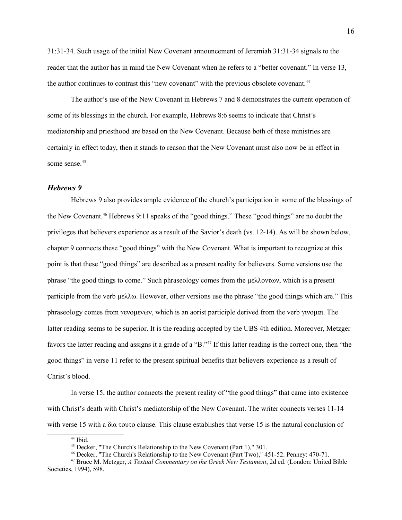31:31-34. Such usage of the initial New Covenant announcement of Jeremiah 31:31-34 signals to the reader that the author has in mind the New Covenant when he refers to a "better covenant." In verse 13, the author continues to contrast this "new covenant" with the previous obsolete covenant.<sup>[44](#page-15-0)</sup>

The author's use of the New Covenant in Hebrews 7 and 8 demonstrates the current operation of some of its blessings in the church. For example, Hebrews 8:6 seems to indicate that Christ's mediatorship and priesthood are based on the New Covenant. Because both of these ministries are certainly in effect today, then it stands to reason that the New Covenant must also now be in effect in some sense.<sup>[45](#page-15-1)</sup>

# *Hebrews 9*

Hebrews 9 also provides ample evidence of the church's participation in some of the blessings of the New Covenant.<sup>[46](#page-15-2)</sup> Hebrews 9:11 speaks of the "good things." These "good things" are no doubt the privileges that believers experience as a result of the Savior's death (vs. 12-14). As will be shown below, chapter 9 connects these "good things" with the New Covenant. What is important to recognize at this point is that these "good things" are described as a present reality for believers. Some versions use the phrase "the good things to come." Such phraseology comes from the  $\mu\epsilon\lambda\lambda\text{ov}\tau\omega$ , which is a present participle from the verb  $\mu \in \lambda \infty$ . However, other versions use the phrase "the good things which are." This phraseology comes from  $\gamma$ evo $\mu$ evov, which is an aorist participle derived from the verb  $\gamma$ ivo $\mu$ ai. The latter reading seems to be superior. It is the reading accepted by the UBS 4th edition. Moreover, Metzger favors the latter reading and assigns it a grade of a "B."[47](#page-15-3) If this latter reading is the correct one, then "the good things" in verse 11 refer to the present spiritual benefits that believers experience as a result of Christ's blood.

In verse 15, the author connects the present reality of "the good things" that came into existence with Christ's death with Christ's mediatorship of the New Covenant. The writer connects verses 11-14 with verse 15 with a  $\delta u \tau$  touto clause. This clause establishes that verse 15 is the natural conclusion of

<span id="page-15-0"></span><sup>&</sup>lt;sup>44</sup> Ibid.

<span id="page-15-1"></span><sup>&</sup>lt;sup>45</sup> Decker, "The Church's Relationship to the New Covenant (Part 1)," 301.

<span id="page-15-3"></span><span id="page-15-2"></span><sup>46</sup> Decker, "The Church's Relationship to the New Covenant (Part Two)," 451-52. Penney: 470-71.

<sup>47</sup> Bruce M. Metzger, *A Textual Commentary on the Greek New Testament*, 2d ed. (London: United Bible Societies, 1994), 598.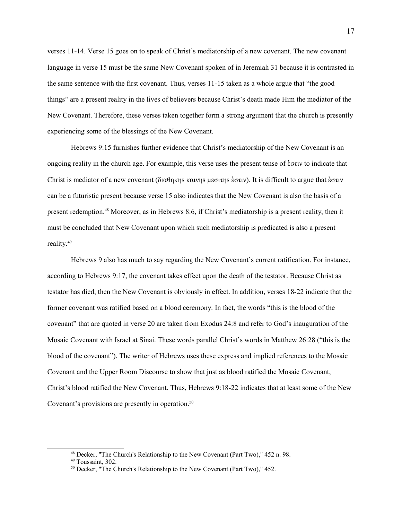verses 11-14. Verse 15 goes on to speak of Christ's mediatorship of a new covenant. The new covenant language in verse 15 must be the same New Covenant spoken of in Jeremiah 31 because it is contrasted in the same sentence with the first covenant. Thus, verses 11-15 taken as a whole argue that "the good things" are a present reality in the lives of believers because Christ's death made Him the mediator of the New Covenant. Therefore, these verses taken together form a strong argument that the church is presently experiencing some of the blessings of the New Covenant.

Hebrews 9:15 furnishes further evidence that Christ's mediatorship of the New Covenant is an ongoing reality in the church age. For example, this verse uses the present tense of  $\epsilon \sigma \tau \nu \nu$  to indicate that Christ is mediator of a new covenant ( $\delta u \theta \eta \kappa \eta s$  kaivhs  $\kappa \sigma \tau \eta s$  are either to argue that  $\kappa \sigma \tau \nu$ can be a futuristic present because verse 15 also indicates that the New Covenant is also the basis of a present redemption.[48](#page-16-0) Moreover, as in Hebrews 8:6, if Christ's mediatorship is a present reality, then it must be concluded that New Covenant upon which such mediatorship is predicated is also a present reality.<sup>[49](#page-16-1)</sup>

Hebrews 9 also has much to say regarding the New Covenant's current ratification. For instance, according to Hebrews 9:17, the covenant takes effect upon the death of the testator. Because Christ as testator has died, then the New Covenant is obviously in effect. In addition, verses 18-22 indicate that the former covenant was ratified based on a blood ceremony. In fact, the words "this is the blood of the covenant" that are quoted in verse 20 are taken from Exodus 24:8 and refer to God's inauguration of the Mosaic Covenant with Israel at Sinai. These words parallel Christ's words in Matthew 26:28 ("this is the blood of the covenant"). The writer of Hebrews uses these express and implied references to the Mosaic Covenant and the Upper Room Discourse to show that just as blood ratified the Mosaic Covenant, Christ's blood ratified the New Covenant. Thus, Hebrews 9:18-22 indicates that at least some of the New Covenant's provisions are presently in operation.<sup>[50](#page-16-2)</sup>

<span id="page-16-0"></span><sup>48</sup> Decker, "The Church's Relationship to the New Covenant (Part Two)," 452 n. 98.

<span id="page-16-1"></span><sup>49</sup> Toussaint, 302.

<span id="page-16-2"></span><sup>&</sup>lt;sup>50</sup> Decker, "The Church's Relationship to the New Covenant (Part Two)," 452.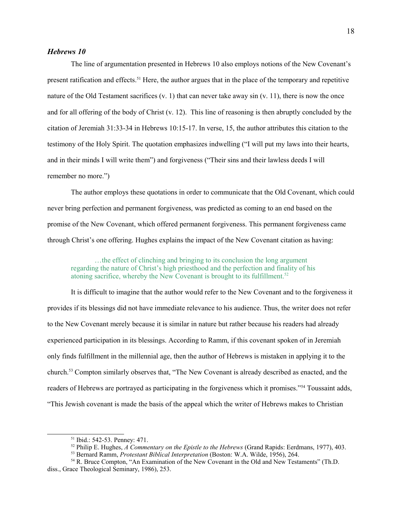# *Hebrews 10*

The line of argumentation presented in Hebrews 10 also employs notions of the New Covenant's present ratification and effects.[51](#page-17-0) Here, the author argues that in the place of the temporary and repetitive nature of the Old Testament sacrifices  $(v, 1)$  that can never take away sin  $(v, 11)$ , there is now the once and for all offering of the body of Christ (v. 12). This line of reasoning is then abruptly concluded by the citation of Jeremiah 31:33-34 in Hebrews 10:15-17. In verse, 15, the author attributes this citation to the testimony of the Holy Spirit. The quotation emphasizes indwelling ("I will put my laws into their hearts, and in their minds I will write them") and forgiveness ("Their sins and their lawless deeds I will remember no more.")

The author employs these quotations in order to communicate that the Old Covenant, which could never bring perfection and permanent forgiveness, was predicted as coming to an end based on the promise of the New Covenant, which offered permanent forgiveness. This permanent forgiveness came through Christ's one offering. Hughes explains the impact of the New Covenant citation as having:

…the effect of clinching and bringing to its conclusion the long argument regarding the nature of Christ's high priesthood and the perfection and finality of his atoning sacrifice, whereby the New Covenant is brought to its fulfillment.<sup>[52](#page-17-1)</sup>

It is difficult to imagine that the author would refer to the New Covenant and to the forgiveness it provides if its blessings did not have immediate relevance to his audience. Thus, the writer does not refer to the New Covenant merely because it is similar in nature but rather because his readers had already experienced participation in its blessings. According to Ramm, if this covenant spoken of in Jeremiah only finds fulfillment in the millennial age, then the author of Hebrews is mistaken in applying it to the church.[53](#page-17-2) Compton similarly observes that, "The New Covenant is already described as enacted, and the readers of Hebrews are portrayed as participating in the forgiveness which it promises."[54](#page-17-3) Toussaint adds, "This Jewish covenant is made the basis of the appeal which the writer of Hebrews makes to Christian

<span id="page-17-0"></span><sup>51</sup> Ibid.: 542-53. Penney: 471.

<span id="page-17-1"></span><sup>52</sup> Philip E. Hughes, *A Commentary on the Epistle to the Hebrews* (Grand Rapids: Eerdmans, 1977), 403.

<span id="page-17-3"></span><span id="page-17-2"></span><sup>53</sup> Bernard Ramm, *Protestant Biblical Interpretation* (Boston: W.A. Wilde, 1956), 264.

<sup>54</sup> R. Bruce Compton, "An Examination of the New Covenant in the Old and New Testaments" (Th.D. diss., Grace Theological Seminary, 1986), 253.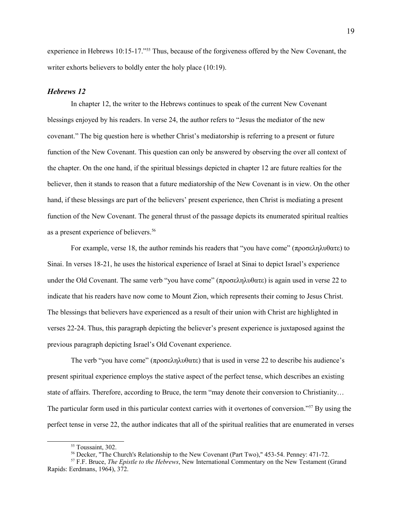experience in Hebrews 10:15-17."[55](#page-18-0) Thus, because of the forgiveness offered by the New Covenant, the writer exhorts believers to boldly enter the holy place (10:19).

# *Hebrews 12*

In chapter 12, the writer to the Hebrews continues to speak of the current New Covenant blessings enjoyed by his readers. In verse 24, the author refers to "Jesus the mediator of the new covenant." The big question here is whether Christ's mediatorship is referring to a present or future function of the New Covenant. This question can only be answered by observing the over all context of the chapter. On the one hand, if the spiritual blessings depicted in chapter 12 are future realties for the believer, then it stands to reason that a future mediatorship of the New Covenant is in view. On the other hand, if these blessings are part of the believers' present experience, then Christ is mediating a present function of the New Covenant. The general thrust of the passage depicts its enumerated spiritual realties as a present experience of believers.[56](#page-18-1)

For example, verse 18, the author reminds his readers that "you have come" ( $\pi \rho \sigma \epsilon \lambda \eta \lambda \nu \theta \alpha \tau \epsilon$ ) to Sinai. In verses 18-21, he uses the historical experience of Israel at Sinai to depict Israel's experience under the Old Covenant. The same verb "you have come" ( $\pi \rho \sigma \epsilon \lambda \eta \lambda \nu \theta \alpha \tau \epsilon$ ) is again used in verse 22 to indicate that his readers have now come to Mount Zion, which represents their coming to Jesus Christ. The blessings that believers have experienced as a result of their union with Christ are highlighted in verses 22-24. Thus, this paragraph depicting the believer's present experience is juxtaposed against the previous paragraph depicting Israel's Old Covenant experience.

The verb "you have come" ( $\pi$ ροσεληλυθατε) that is used in verse 22 to describe his audience's present spiritual experience employs the stative aspect of the perfect tense, which describes an existing state of affairs. Therefore, according to Bruce, the term "may denote their conversion to Christianity… The particular form used in this particular context carries with it overtones of conversion."[57](#page-18-2) By using the perfect tense in verse 22, the author indicates that all of the spiritual realities that are enumerated in verses

<span id="page-18-0"></span><sup>55</sup> Toussaint, 302.

<span id="page-18-2"></span><span id="page-18-1"></span><sup>56</sup> Decker, "The Church's Relationship to the New Covenant (Part Two)," 453-54. Penney: 471-72.

<sup>57</sup> F.F. Bruce, *The Epistle to the Hebrews*, New International Commentary on the New Testament (Grand Rapids: Eerdmans, 1964), 372.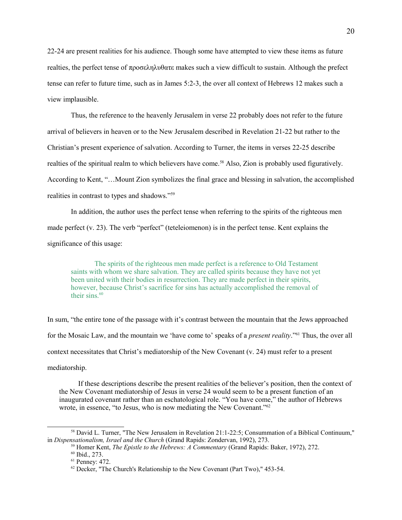22-24 are present realities for his audience. Though some have attempted to view these items as future realties, the perfect tense of  $\pi \rho \sigma \sigma \epsilon \lambda \eta \lambda \nu \theta \alpha \tau \epsilon$  makes such a view difficult to sustain. Although the prefect tense can refer to future time, such as in James 5:2-3, the over all context of Hebrews 12 makes such a view implausible.

Thus, the reference to the heavenly Jerusalem in verse 22 probably does not refer to the future arrival of believers in heaven or to the New Jerusalem described in Revelation 21-22 but rather to the Christian's present experience of salvation. According to Turner, the items in verses 22-25 describe realties of the spiritual realm to which believers have come.<sup>[58](#page-19-0)</sup> Also, Zion is probably used figuratively. According to Kent, "…Mount Zion symbolizes the final grace and blessing in salvation, the accomplished realities in contrast to types and shadows."[59](#page-19-1)

In addition, the author uses the perfect tense when referring to the spirits of the righteous men made perfect (v. 23). The verb "perfect" (teteleiomenon) is in the perfect tense. Kent explains the significance of this usage:

The spirits of the righteous men made perfect is a reference to Old Testament saints with whom we share salvation. They are called spirits because they have not yet been united with their bodies in resurrection. They are made perfect in their spirits, however, because Christ's sacrifice for sins has actually accomplished the removal of their sins. $60$ 

In sum, "the entire tone of the passage with it's contrast between the mountain that the Jews approached for the Mosaic Law, and the mountain we 'have come to' speaks of a *present reality*."[61](#page-19-3) Thus, the over all context necessitates that Christ's mediatorship of the New Covenant (v. 24) must refer to a present mediatorship.

 If these descriptions describe the present realities of the believer's position, then the context of the New Covenant mediatorship of Jesus in verse 24 would seem to be a present function of an inaugurated covenant rather than an eschatological role. "You have come," the author of Hebrews wrote, in essence, "to Jesus, who is now mediating the New Covenant."<sup>[62](#page-19-4)</sup>

<sup>&</sup>lt;sup>58</sup> David L. Turner, "The New Jerusalem in Revelation 21:1-22:5; Consummation of a Biblical Continuum," in *Dispensationalism, Israel and the Church* (Grand Rapids: Zondervan, 1992), 273.

<span id="page-19-1"></span><span id="page-19-0"></span><sup>59</sup> Homer Kent, *The Epistle to the Hebrews: A Commentary* (Grand Rapids: Baker, 1972), 272.

<span id="page-19-2"></span><sup>60</sup> Ibid., 273.

<span id="page-19-3"></span><sup>61</sup> Penney: 472.

<span id="page-19-4"></span><sup>&</sup>lt;sup>62</sup> Decker, "The Church's Relationship to the New Covenant (Part Two)," 453-54.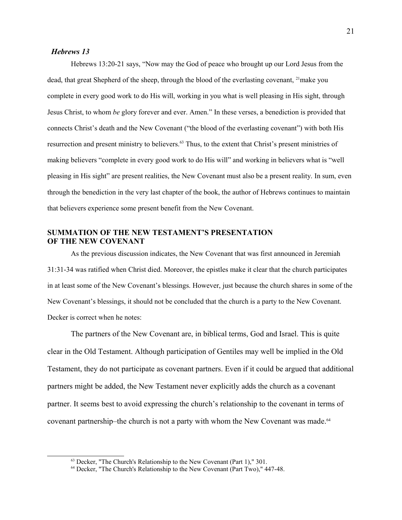## *Hebrews 13*

Hebrews 13:20-21 says, "Now may the God of peace who brought up our Lord Jesus from the dead, that great Shepherd of the sheep, through the blood of the everlasting covenant, <sup>21</sup>make you complete in every good work to do His will, working in you what is well pleasing in His sight, through Jesus Christ, to whom *be* glory forever and ever. Amen." In these verses, a benediction is provided that connects Christ's death and the New Covenant ("the blood of the everlasting covenant") with both His resurrection and present ministry to believers.[63](#page-20-0) Thus, to the extent that Christ's present ministries of making believers "complete in every good work to do His will" and working in believers what is "well pleasing in His sight" are present realities, the New Covenant must also be a present reality. In sum, even through the benediction in the very last chapter of the book, the author of Hebrews continues to maintain that believers experience some present benefit from the New Covenant.

# **SUMMATION OF THE NEW TESTAMENT'S PRESENTATION OF THE NEW COVENANT**

As the previous discussion indicates, the New Covenant that was first announced in Jeremiah 31:31-34 was ratified when Christ died. Moreover, the epistles make it clear that the church participates in at least some of the New Covenant's blessings. However, just because the church shares in some of the New Covenant's blessings, it should not be concluded that the church is a party to the New Covenant. Decker is correct when he notes:

The partners of the New Covenant are, in biblical terms, God and Israel. This is quite clear in the Old Testament. Although participation of Gentiles may well be implied in the Old Testament, they do not participate as covenant partners. Even if it could be argued that additional partners might be added, the New Testament never explicitly adds the church as a covenant partner. It seems best to avoid expressing the church's relationship to the covenant in terms of covenant partnership–the church is not a party with whom the New Covenant was made.<sup>[64](#page-20-1)</sup>

<span id="page-20-0"></span><sup>63</sup> Decker, "The Church's Relationship to the New Covenant (Part 1)," 301.

<span id="page-20-1"></span><sup>64</sup> Decker, "The Church's Relationship to the New Covenant (Part Two)," 447-48.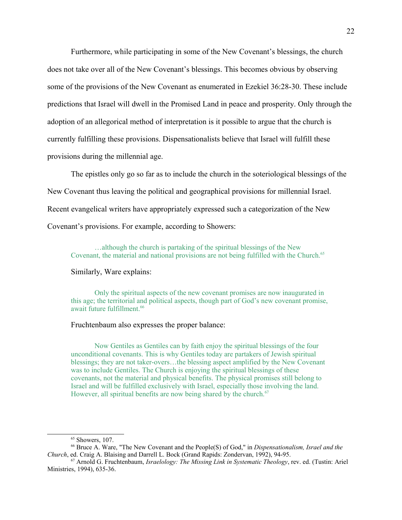Furthermore, while participating in some of the New Covenant's blessings, the church does not take over all of the New Covenant's blessings. This becomes obvious by observing some of the provisions of the New Covenant as enumerated in Ezekiel 36:28-30. These include predictions that Israel will dwell in the Promised Land in peace and prosperity. Only through the adoption of an allegorical method of interpretation is it possible to argue that the church is currently fulfilling these provisions. Dispensationalists believe that Israel will fulfill these provisions during the millennial age.

The epistles only go so far as to include the church in the soteriological blessings of the New Covenant thus leaving the political and geographical provisions for millennial Israel. Recent evangelical writers have appropriately expressed such a categorization of the New Covenant's provisions. For example, according to Showers:

…although the church is partaking of the spiritual blessings of the New Covenant, the material and national provisions are not being fulfilled with the Church.<sup>[65](#page-21-0)</sup>

#### Similarly, Ware explains:

Only the spiritual aspects of the new covenant promises are now inaugurated in this age; the territorial and political aspects, though part of God's new covenant promise, await future fulfillment.<sup>[66](#page-21-1)</sup>

#### Fruchtenbaum also expresses the proper balance:

Now Gentiles as Gentiles can by faith enjoy the spiritual blessings of the four unconditional covenants. This is why Gentiles today are partakers of Jewish spiritual blessings; they are not taker-overs…the blessing aspect amplified by the New Covenant was to include Gentiles. The Church is enjoying the spiritual blessings of these covenants, not the material and physical benefits. The physical promises still belong to Israel and will be fulfilled exclusively with Israel, especially those involving the land. However, all spiritual benefits are now being shared by the church.<sup>[67](#page-21-2)</sup>

<span id="page-21-2"></span><span id="page-21-1"></span><span id="page-21-0"></span> $65$  Showers, 107.

<sup>66</sup> Bruce A. Ware, "The New Covenant and the People(S) of God," in *Dispensationalism, Israel and the Church*, ed. Craig A. Blaising and Darrell L. Bock (Grand Rapids: Zondervan, 1992), 94-95.

<sup>67</sup> Arnold G. Fruchtenbaum, *Israelology: The Missing Link in Systematic Theology*, rev. ed. (Tustin: Ariel Ministries, 1994), 635-36.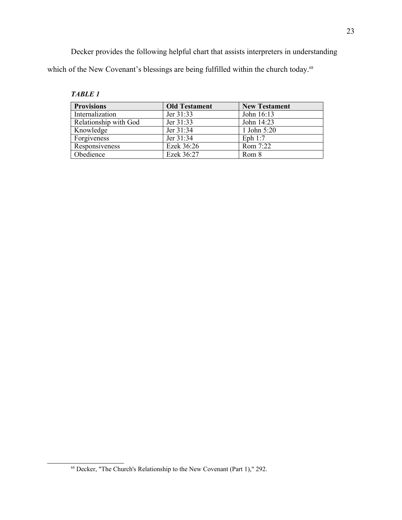Decker provides the following helpful chart that assists interpreters in understanding which of the New Covenant's blessings are being fulfilled within the church today.<sup>[68](#page-22-0)</sup>

| <b>Provisions</b>     | <b>Old Testament</b> | <b>New Testament</b> |
|-----------------------|----------------------|----------------------|
| Internalization       | Jer $31:33$          | John 16:13           |
| Relationship with God | Jer 31:33            | John 14:23           |
| Knowledge             | Jer $31:34$          | 1 John $5:20$        |
| Forgiveness           | Jer $31:34$          | Eph $1:7$            |
| Responsiveness        | Ezek 36:26           | Rom 7:22             |
| Obedience             | Ezek 36:27           | Rom 8                |

<span id="page-22-0"></span><sup>68</sup> Decker, "The Church's Relationship to the New Covenant (Part 1)," 292.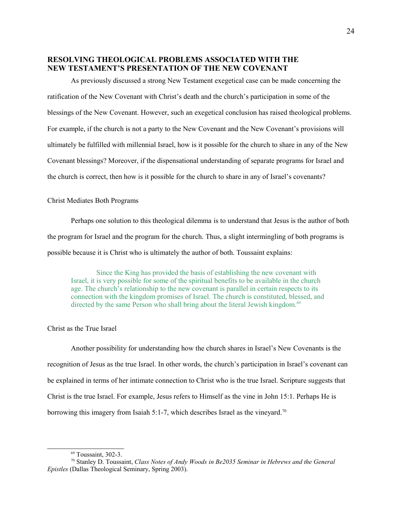# **RESOLVING THEOLOGICAL PROBLEMS ASSOCIATED WITH THE NEW TESTAMENT'S PRESENTATION OF THE NEW COVENANT**

As previously discussed a strong New Testament exegetical case can be made concerning the ratification of the New Covenant with Christ's death and the church's participation in some of the blessings of the New Covenant. However, such an exegetical conclusion has raised theological problems. For example, if the church is not a party to the New Covenant and the New Covenant's provisions will ultimately be fulfilled with millennial Israel, how is it possible for the church to share in any of the New Covenant blessings? Moreover, if the dispensational understanding of separate programs for Israel and the church is correct, then how is it possible for the church to share in any of Israel's covenants?

## Christ Mediates Both Programs

Perhaps one solution to this theological dilemma is to understand that Jesus is the author of both the program for Israel and the program for the church. Thus, a slight intermingling of both programs is possible because it is Christ who is ultimately the author of both. Toussaint explains:

Since the King has provided the basis of establishing the new covenant with Israel, it is very possible for some of the spiritual benefits to be available in the church age. The church's relationship to the new covenant is parallel in certain respects to its connection with the kingdom promises of Israel. The church is constituted, blessed, and directed by the same Person who shall bring about the literal Jewish kingdom.<sup>[69](#page-23-0)</sup>

# Christ as the True Israel

Another possibility for understanding how the church shares in Israel's New Covenants is the recognition of Jesus as the true Israel. In other words, the church's participation in Israel's covenant can be explained in terms of her intimate connection to Christ who is the true Israel. Scripture suggests that Christ is the true Israel. For example, Jesus refers to Himself as the vine in John 15:1. Perhaps He is borrowing this imagery from Isaiah 5:1-7, which describes Israel as the vineyard.<sup>[70](#page-23-1)</sup>

<span id="page-23-1"></span><span id="page-23-0"></span> $69$  Toussaint, 302-3.

<sup>70</sup> Stanley D. Toussaint, *Class Notes of Andy Woods in Be2035 Seminar in Hebrews and the General Epistles* (Dallas Theological Seminary, Spring 2003).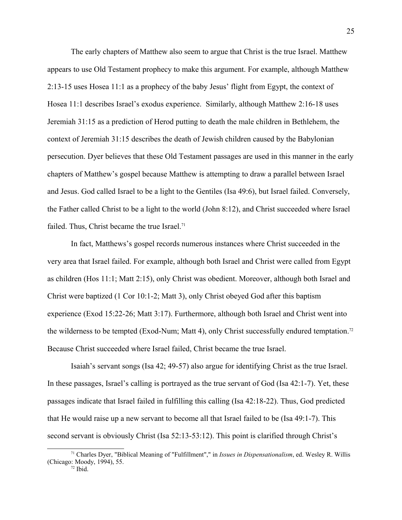The early chapters of Matthew also seem to argue that Christ is the true Israel. Matthew appears to use Old Testament prophecy to make this argument. For example, although Matthew 2:13-15 uses Hosea 11:1 as a prophecy of the baby Jesus' flight from Egypt, the context of Hosea 11:1 describes Israel's exodus experience. Similarly, although Matthew 2:16-18 uses Jeremiah 31:15 as a prediction of Herod putting to death the male children in Bethlehem, the context of Jeremiah 31:15 describes the death of Jewish children caused by the Babylonian persecution. Dyer believes that these Old Testament passages are used in this manner in the early chapters of Matthew's gospel because Matthew is attempting to draw a parallel between Israel and Jesus. God called Israel to be a light to the Gentiles (Isa 49:6), but Israel failed. Conversely, the Father called Christ to be a light to the world (John 8:12), and Christ succeeded where Israel failed. Thus, Christ became the true Israel.<sup>[71](#page-24-0)</sup>

In fact, Matthews's gospel records numerous instances where Christ succeeded in the very area that Israel failed. For example, although both Israel and Christ were called from Egypt as children (Hos 11:1; Matt 2:15), only Christ was obedient. Moreover, although both Israel and Christ were baptized (1 Cor 10:1-2; Matt 3), only Christ obeyed God after this baptism experience (Exod 15:22-26; Matt 3:17). Furthermore, although both Israel and Christ went into the wilderness to be tempted (Exod-Num; Matt 4), only Christ successfully endured temptation.[72](#page-24-1) Because Christ succeeded where Israel failed, Christ became the true Israel.

Isaiah's servant songs (Isa 42; 49-57) also argue for identifying Christ as the true Israel. In these passages, Israel's calling is portrayed as the true servant of God (Isa 42:1-7). Yet, these passages indicate that Israel failed in fulfilling this calling (Isa 42:18-22). Thus, God predicted that He would raise up a new servant to become all that Israel failed to be (Isa 49:1-7). This second servant is obviously Christ (Isa 52:13-53:12). This point is clarified through Christ's

<span id="page-24-1"></span><span id="page-24-0"></span><sup>71</sup> Charles Dyer, "Biblical Meaning of "Fulfillment"," in *Issues in Dispensationalism*, ed. Wesley R. Willis (Chicago: Moody, 1994), 55.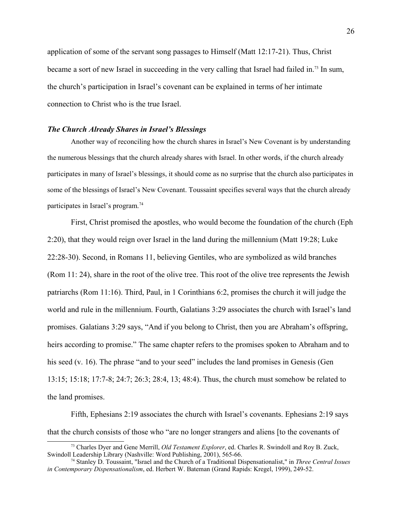application of some of the servant song passages to Himself (Matt 12:17-21). Thus, Christ became a sort of new Israel in succeeding in the very calling that Israel had failed in.[73](#page-25-0) In sum, the church's participation in Israel's covenant can be explained in terms of her intimate connection to Christ who is the true Israel.

## *The Church Already Shares in Israel's Blessings*

Another way of reconciling how the church shares in Israel's New Covenant is by understanding the numerous blessings that the church already shares with Israel. In other words, if the church already participates in many of Israel's blessings, it should come as no surprise that the church also participates in some of the blessings of Israel's New Covenant. Toussaint specifies several ways that the church already participates in Israel's program.[74](#page-25-1)

First, Christ promised the apostles, who would become the foundation of the church (Eph 2:20), that they would reign over Israel in the land during the millennium (Matt 19:28; Luke 22:28-30). Second, in Romans 11, believing Gentiles, who are symbolized as wild branches (Rom 11: 24), share in the root of the olive tree. This root of the olive tree represents the Jewish patriarchs (Rom 11:16). Third, Paul, in 1 Corinthians 6:2, promises the church it will judge the world and rule in the millennium. Fourth, Galatians 3:29 associates the church with Israel's land promises. Galatians 3:29 says, "And if you belong to Christ, then you are Abraham's offspring, heirs according to promise." The same chapter refers to the promises spoken to Abraham and to his seed (v. 16). The phrase "and to your seed" includes the land promises in Genesis (Gen 13:15; 15:18; 17:7-8; 24:7; 26:3; 28:4, 13; 48:4). Thus, the church must somehow be related to the land promises.

Fifth, Ephesians 2:19 associates the church with Israel's covenants. Ephesians 2:19 says that the church consists of those who "are no longer strangers and aliens [to the covenants of

<span id="page-25-0"></span><sup>73</sup> Charles Dyer and Gene Merrill, *Old Testament Explorer*, ed. Charles R. Swindoll and Roy B. Zuck, Swindoll Leadership Library (Nashville: Word Publishing, 2001), 565-66.

<span id="page-25-1"></span><sup>74</sup> Stanley D. Toussaint, "Israel and the Church of a Traditional Dispensationalist," in *Three Central Issues in Contemporary Dispensationalism*, ed. Herbert W. Bateman (Grand Rapids: Kregel, 1999), 249-52.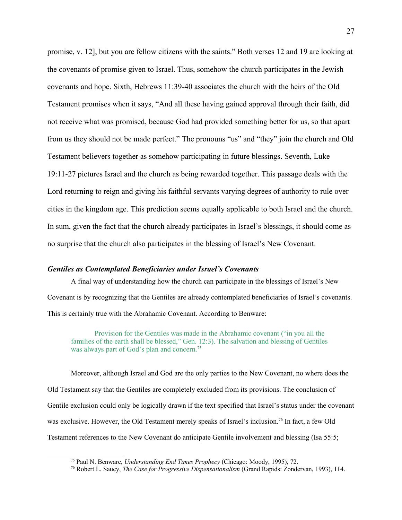promise, v. 12], but you are fellow citizens with the saints." Both verses 12 and 19 are looking at the covenants of promise given to Israel. Thus, somehow the church participates in the Jewish covenants and hope. Sixth, Hebrews 11:39-40 associates the church with the heirs of the Old Testament promises when it says, "And all these having gained approval through their faith, did not receive what was promised, because God had provided something better for us, so that apart from us they should not be made perfect." The pronouns "us" and "they" join the church and Old Testament believers together as somehow participating in future blessings. Seventh, Luke 19:11-27 pictures Israel and the church as being rewarded together. This passage deals with the Lord returning to reign and giving his faithful servants varying degrees of authority to rule over cities in the kingdom age. This prediction seems equally applicable to both Israel and the church. In sum, given the fact that the church already participates in Israel's blessings, it should come as no surprise that the church also participates in the blessing of Israel's New Covenant.

### *Gentiles as Contemplated Beneficiaries under Israel's Covenants*

A final way of understanding how the church can participate in the blessings of Israel's New Covenant is by recognizing that the Gentiles are already contemplated beneficiaries of Israel's covenants. This is certainly true with the Abrahamic Covenant. According to Benware:

Provision for the Gentiles was made in the Abrahamic covenant ("in you all the families of the earth shall be blessed," Gen. 12:3). The salvation and blessing of Gentiles was always part of God's plan and concern.<sup>[75](#page-26-0)</sup>

Moreover, although Israel and God are the only parties to the New Covenant, no where does the Old Testament say that the Gentiles are completely excluded from its provisions. The conclusion of Gentile exclusion could only be logically drawn if the text specified that Israel's status under the covenant was exclusive. However, the Old Testament merely speaks of Israel's inclusion.<sup>[76](#page-26-1)</sup> In fact, a few Old Testament references to the New Covenant do anticipate Gentile involvement and blessing (Isa 55:5;

<span id="page-26-0"></span><sup>75</sup> Paul N. Benware, *Understanding End Times Prophecy* (Chicago: Moody, 1995), 72.

<span id="page-26-1"></span><sup>76</sup> Robert L. Saucy, *The Case for Progressive Dispensationalism* (Grand Rapids: Zondervan, 1993), 114.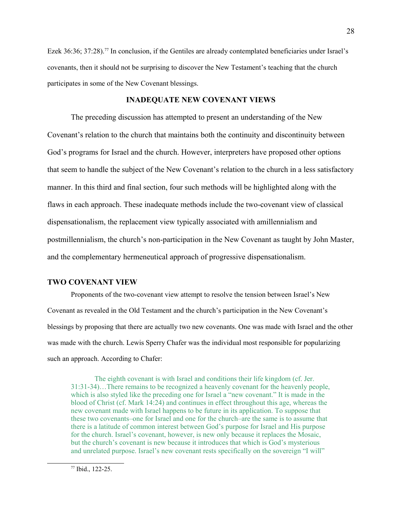Ezek 36:36; 37:28).<sup>[77](#page-27-0)</sup> In conclusion, if the Gentiles are already contemplated beneficiaries under Israel's covenants, then it should not be surprising to discover the New Testament's teaching that the church participates in some of the New Covenant blessings.

# **INADEQUATE NEW COVENANT VIEWS**

The preceding discussion has attempted to present an understanding of the New Covenant's relation to the church that maintains both the continuity and discontinuity between God's programs for Israel and the church. However, interpreters have proposed other options that seem to handle the subject of the New Covenant's relation to the church in a less satisfactory manner. In this third and final section, four such methods will be highlighted along with the flaws in each approach. These inadequate methods include the two-covenant view of classical dispensationalism, the replacement view typically associated with amillennialism and postmillennialism, the church's non-participation in the New Covenant as taught by John Master, and the complementary hermeneutical approach of progressive dispensationalism.

# **TWO COVENANT VIEW**

Proponents of the two-covenant view attempt to resolve the tension between Israel's New Covenant as revealed in the Old Testament and the church's participation in the New Covenant's blessings by proposing that there are actually two new covenants. One was made with Israel and the other was made with the church. Lewis Sperry Chafer was the individual most responsible for popularizing such an approach. According to Chafer:

The eighth covenant is with Israel and conditions their life kingdom (cf. Jer. 31:31-34)…There remains to be recognized a heavenly covenant for the heavenly people, which is also styled like the preceding one for Israel a "new covenant." It is made in the blood of Christ (cf. Mark 14:24) and continues in effect throughout this age, whereas the new covenant made with Israel happens to be future in its application. To suppose that these two covenants–one for Israel and one for the church–are the same is to assume that there is a latitude of common interest between God's purpose for Israel and His purpose for the church. Israel's covenant, however, is new only because it replaces the Mosaic, but the church's covenant is new because it introduces that which is God's mysterious and unrelated purpose. Israel's new covenant rests specifically on the sovereign "I will"

<span id="page-27-0"></span><sup>77</sup> Ibid., 122-25.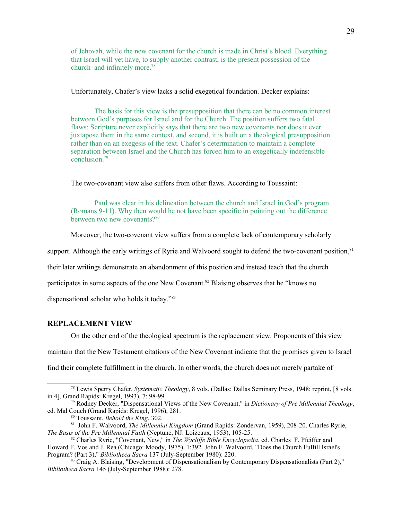of Jehovah, while the new covenant for the church is made in Christ's blood. Everything that Israel will yet have, to supply another contrast, is the present possession of the church–and infinitely more.[78](#page-28-0)

Unfortunately, Chafer's view lacks a solid exegetical foundation. Decker explains:

The basis for this view is the presupposition that there can be no common interest between God's purposes for Israel and for the Church. The position suffers two fatal flaws: Scripture never explicitly says that there are two new covenants nor does it ever juxtapose them in the same context, and second, it is built on a theological presupposition rather than on an exegesis of the text. Chafer's determination to maintain a complete separation between Israel and the Church has forced him to an exegetically indefensible conclusion.[79](#page-28-1)

The two-covenant view also suffers from other flaws. According to Toussaint:

Paul was clear in his delineation between the church and Israel in God's program (Romans 9-11). Why then would he not have been specific in pointing out the difference between two new covenants? $80$ 

Moreover, the two-covenant view suffers from a complete lack of contemporary scholarly

support. Although the early writings of Ryrie and Walvoord sought to defend the two-covenant position, <sup>[81](#page-28-3)</sup>

their later writings demonstrate an abandonment of this position and instead teach that the church

participates in some aspects of the one New Covenant.<sup>[82](#page-28-4)</sup> Blaising observes that he "knows no

dispensational scholar who holds it today."[83](#page-28-5)

#### **REPLACEMENT VIEW**

On the other end of the theological spectrum is the replacement view. Proponents of this view

maintain that the New Testament citations of the New Covenant indicate that the promises given to Israel

find their complete fulfillment in the church. In other words, the church does not merely partake of

Program? (Part 3)," *Bibliotheca Sacra* 137 (July-September 1980): 220.

<span id="page-28-0"></span><sup>78</sup> Lewis Sperry Chafer, *Systematic Theology*, 8 vols. (Dallas: Dallas Seminary Press, 1948; reprint, [8 vols. in 4], Grand Rapids: Kregel, 1993), 7: 98-99.

<sup>79</sup> Rodney Decker, "Dispensational Views of the New Covenant," in *Dictionary of Pre Millennial Theology*, ed. Mal Couch (Grand Rapids: Kregel, 1996), 281.

<span id="page-28-4"></span><span id="page-28-3"></span><span id="page-28-2"></span><span id="page-28-1"></span><sup>80</sup> Toussaint, *Behold the King*, 302.

<sup>81</sup> John F. Walvoord, *The Millennial Kingdom* (Grand Rapids: Zondervan, 1959), 208-20. Charles Ryrie, *The Basis of the Pre Millennial Faith* (Neptune, NJ: Loizeaux, 1953), 105-25.

<sup>82</sup> Charles Ryrie, "Covenant, New," in *The Wycliffe Bible Encyclopedia*, ed. Charles F. Pfeiffer and Howard F. Vos and J. Rea (Chicago: Moody, 1975), 1:392. John F. Walvoord, "Does the Church Fulfill Israel's

<span id="page-28-5"></span> $83$  Craig A. Blaising, "Development of Dispensationalism by Contemporary Dispensationalists (Part 2)," *Bibliotheca Sacra* 145 (July-September 1988): 278.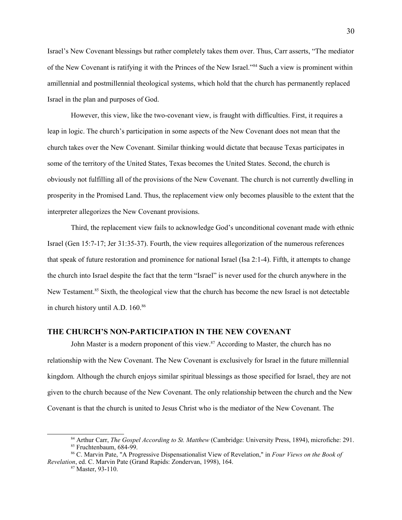Israel's New Covenant blessings but rather completely takes them over. Thus, Carr asserts, "The mediator of the New Covenant is ratifying it with the Princes of the New Israel."[84](#page-29-0) Such a view is prominent within amillennial and postmillennial theological systems, which hold that the church has permanently replaced Israel in the plan and purposes of God.

However, this view, like the two-covenant view, is fraught with difficulties. First, it requires a leap in logic. The church's participation in some aspects of the New Covenant does not mean that the church takes over the New Covenant. Similar thinking would dictate that because Texas participates in some of the territory of the United States, Texas becomes the United States. Second, the church is obviously not fulfilling all of the provisions of the New Covenant. The church is not currently dwelling in prosperity in the Promised Land. Thus, the replacement view only becomes plausible to the extent that the interpreter allegorizes the New Covenant provisions.

Third, the replacement view fails to acknowledge God's unconditional covenant made with ethnic Israel (Gen 15:7-17; Jer 31:35-37). Fourth, the view requires allegorization of the numerous references that speak of future restoration and prominence for national Israel (Isa 2:1-4). Fifth, it attempts to change the church into Israel despite the fact that the term "Israel" is never used for the church anywhere in the New Testament.<sup>[85](#page-29-1)</sup> Sixth, the theological view that the church has become the new Israel is not detectable in church history until A.D. 160.<sup>[86](#page-29-2)</sup>

# **THE CHURCH'S NON-PARTICIPATION IN THE NEW COVENANT**

John Master is a modern proponent of this view. $87$  According to Master, the church has no relationship with the New Covenant. The New Covenant is exclusively for Israel in the future millennial kingdom. Although the church enjoys similar spiritual blessings as those specified for Israel, they are not given to the church because of the New Covenant. The only relationship between the church and the New Covenant is that the church is united to Jesus Christ who is the mediator of the New Covenant. The

<span id="page-29-1"></span><span id="page-29-0"></span><sup>84</sup> Arthur Carr, *The Gospel According to St. Matthew* (Cambridge: University Press, 1894), microfiche: 291. <sup>85</sup> Fruchtenbaum, 684-99.

<sup>86</sup> C. Marvin Pate, "A Progressive Dispensationalist View of Revelation," in *Four Views on the Book of Revelation*, ed. C. Marvin Pate (Grand Rapids: Zondervan, 1998), 164.

<span id="page-29-3"></span><span id="page-29-2"></span> $87$  Master, 93-110.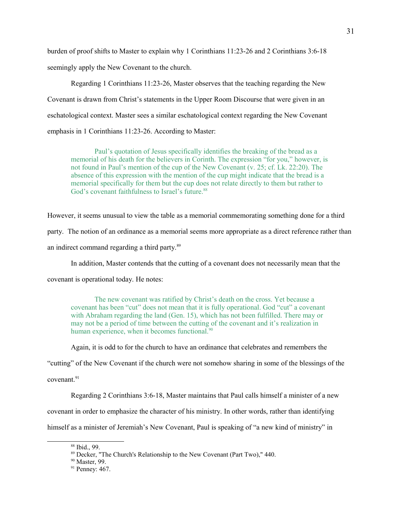burden of proof shifts to Master to explain why 1 Corinthians 11:23-26 and 2 Corinthians 3:6-18 seemingly apply the New Covenant to the church.

Regarding 1 Corinthians 11:23-26, Master observes that the teaching regarding the New Covenant is drawn from Christ's statements in the Upper Room Discourse that were given in an eschatological context. Master sees a similar eschatological context regarding the New Covenant emphasis in 1 Corinthians 11:23-26. According to Master:

Paul's quotation of Jesus specifically identifies the breaking of the bread as a memorial of his death for the believers in Corinth. The expression "for you," however, is not found in Paul's mention of the cup of the New Covenant (v. 25; cf. Lk. 22:20). The absence of this expression with the mention of the cup might indicate that the bread is a memorial specifically for them but the cup does not relate directly to them but rather to God's covenant faithfulness to Israel's future.<sup>[88](#page-30-0)</sup>

However, it seems unusual to view the table as a memorial commemorating something done for a third

party. The notion of an ordinance as a memorial seems more appropriate as a direct reference rather than

an indirect command regarding a third party.[89](#page-30-1)

In addition, Master contends that the cutting of a covenant does not necessarily mean that the

covenant is operational today. He notes:

The new covenant was ratified by Christ's death on the cross. Yet because a covenant has been "cut" does not mean that it is fully operational. God "cut" a covenant with Abraham regarding the land (Gen. 15), which has not been fulfilled. There may or may not be a period of time between the cutting of the covenant and it's realization in human experience, when it becomes functional.<sup>[90](#page-30-2)</sup>

Again, it is odd to for the church to have an ordinance that celebrates and remembers the

"cutting" of the New Covenant if the church were not somehow sharing in some of the blessings of the

covenant.<sup>[91](#page-30-3)</sup>

Regarding 2 Corinthians 3:6-18, Master maintains that Paul calls himself a minister of a new

covenant in order to emphasize the character of his ministry. In other words, rather than identifying

himself as a minister of Jeremiah's New Covenant, Paul is speaking of "a new kind of ministry" in

<span id="page-30-0"></span><sup>88</sup> Ibid., 99.

<span id="page-30-1"></span><sup>89</sup> Decker, "The Church's Relationship to the New Covenant (Part Two)," 440.

<span id="page-30-2"></span><sup>&</sup>lt;sup>90</sup> Master, 99.

<span id="page-30-3"></span><sup>&</sup>lt;sup>91</sup> Penney: 467.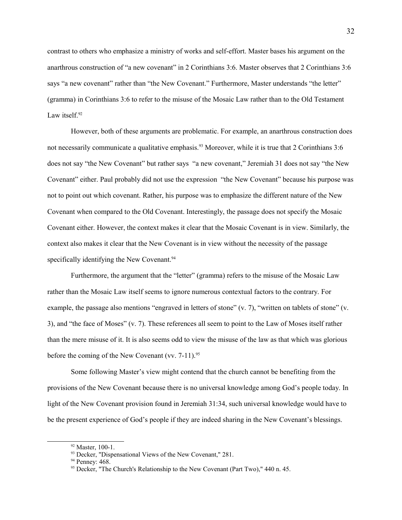contrast to others who emphasize a ministry of works and self-effort. Master bases his argument on the anarthrous construction of "a new covenant" in 2 Corinthians 3:6. Master observes that 2 Corinthians 3:6 says "a new covenant" rather than "the New Covenant." Furthermore, Master understands "the letter" (gramma) in Corinthians 3:6 to refer to the misuse of the Mosaic Law rather than to the Old Testament Law itself. $92$ 

However, both of these arguments are problematic. For example, an anarthrous construction does not necessarily communicate a qualitative emphasis.<sup>[93](#page-31-1)</sup> Moreover, while it is true that 2 Corinthians 3:6 does not say "the New Covenant" but rather says "a new covenant," Jeremiah 31 does not say "the New Covenant" either. Paul probably did not use the expression "the New Covenant" because his purpose was not to point out which covenant. Rather, his purpose was to emphasize the different nature of the New Covenant when compared to the Old Covenant. Interestingly, the passage does not specify the Mosaic Covenant either. However, the context makes it clear that the Mosaic Covenant is in view. Similarly, the context also makes it clear that the New Covenant is in view without the necessity of the passage specifically identifying the New Covenant.<sup>[94](#page-31-2)</sup>

Furthermore, the argument that the "letter" (gramma) refers to the misuse of the Mosaic Law rather than the Mosaic Law itself seems to ignore numerous contextual factors to the contrary. For example, the passage also mentions "engraved in letters of stone" (v. 7), "written on tablets of stone" (v. 3), and "the face of Moses" (v. 7). These references all seem to point to the Law of Moses itself rather than the mere misuse of it. It is also seems odd to view the misuse of the law as that which was glorious before the coming of the New Covenant (vv.  $7-11$ ).<sup>[95](#page-31-3)</sup>

Some following Master's view might contend that the church cannot be benefiting from the provisions of the New Covenant because there is no universal knowledge among God's people today. In light of the New Covenant provision found in Jeremiah 31:34, such universal knowledge would have to be the present experience of God's people if they are indeed sharing in the New Covenant's blessings.

<span id="page-31-0"></span> $92$  Master, 100-1.

<span id="page-31-1"></span><sup>&</sup>lt;sup>93</sup> Decker, "Dispensational Views of the New Covenant," 281.

<span id="page-31-2"></span><sup>&</sup>lt;sup>94</sup> Penney: 468.

<span id="page-31-3"></span><sup>&</sup>lt;sup>95</sup> Decker, "The Church's Relationship to the New Covenant (Part Two)," 440 n. 45.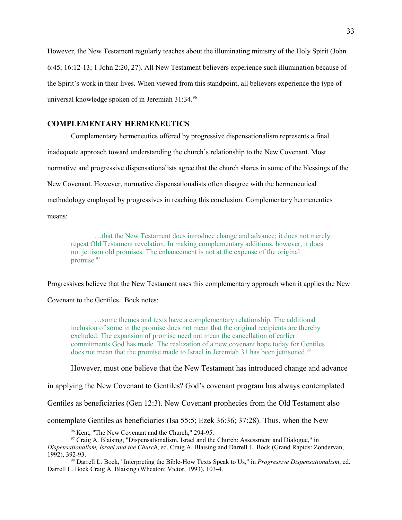However, the New Testament regularly teaches about the illuminating ministry of the Holy Spirit (John 6:45; 16:12-13; 1 John 2:20, 27). All New Testament believers experience such illumination because of the Spirit's work in their lives. When viewed from this standpoint, all believers experience the type of universal knowledge spoken of in Jeremiah 31:34.[96](#page-32-0)

# **COMPLEMENTARY HERMENEUTICS**

Complementary hermeneutics offered by progressive dispensationalism represents a final inadequate approach toward understanding the church's relationship to the New Covenant. Most normative and progressive dispensationalists agree that the church shares in some of the blessings of the New Covenant. However, normative dispensationalists often disagree with the hermeneutical methodology employed by progressives in reaching this conclusion. Complementary hermeneutics means:

…that the New Testament does introduce change and advance; it does not merely repeat Old Testament revelation. In making complementary additions, however, it does not jettison old promises. The enhancement is not at the expense of the original promise.<sup>[97](#page-32-1)</sup>

Progressives believe that the New Testament uses this complementary approach when it applies the New

Covenant to the Gentiles. Bock notes:

…some themes and texts have a complementary relationship. The additional inclusion of some in the promise does not mean that the original recipients are thereby excluded. The expansion of promise need not mean the cancellation of earlier commitments God has made. The realization of a new covenant hope today for Gentiles does not mean that the promise made to Israel in Jeremiah 31 has been jettisoned.<sup>[98](#page-32-2)</sup>

However, must one believe that the New Testament has introduced change and advance

in applying the New Covenant to Gentiles? God's covenant program has always contemplated

Gentiles as beneficiaries (Gen 12:3). New Covenant prophecies from the Old Testament also

contemplate Gentiles as beneficiaries (Isa 55:5; Ezek 36:36; 37:28). Thus, when the New

*Dispensationalism, Israel and the Church*, ed. Craig A. Blaising and Darrell L. Bock (Grand Rapids: Zondervan, 1992), 392-93.

<span id="page-32-0"></span><sup>96</sup> Kent, "The New Covenant and the Church," 294-95.

<span id="page-32-2"></span><span id="page-32-1"></span> $97$  Craig A. Blaising, "Dispensationalism, Israel and the Church: Assessment and Dialogue," in

<sup>98</sup> Darrell L. Bock, "Interpreting the Bible-How Texts Speak to Us," in *Progressive Dispensationalism*, ed. Darrell L. Bock Craig A. Blaising (Wheaton: Victor, 1993), 103-4.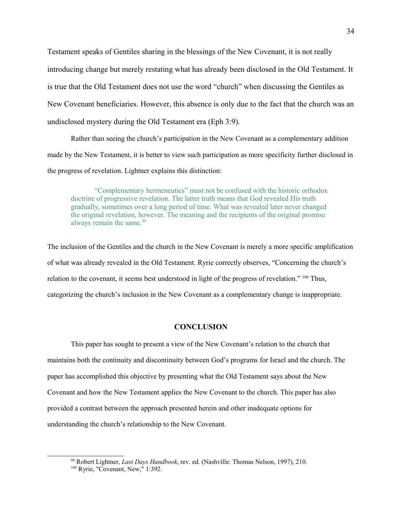Testament speaks of Gentiles sharing in the blessings of the New Covenant, it is not really introducing change but merely restating what has already been disclosed in the Old Testament. It is true that the Old Testament does not use the word "church" when discussing the Gentiles as New Covenant beneficiaries. However, this absence is only due to the fact that the church was an undisclosed mystery during the Old Testament era (Eph 3:9).

Rather than seeing the church's participation in the New Covenant as a complementary addition made by the New Testament, it is better to view such participation as more specificity further disclosed in the progress of revelation. Lightner explains this distinction:

"Complementary hermeneutics" must not be confused with the historic orthodox doctrine of progressive revelation. The latter truth means that God revealed His truth gradually, sometimes over a long period of time. What was revealed later never changed the original revelation, however. The meaning and the recipients of the original promise always remain the same.<sup>[99](#page-33-0)</sup>

The inclusion of the Gentiles and the church in the New Covenant is merely a more specific amplification of what was already revealed in the Old Testament. Ryrie correctly observes, "Concerning the church's relation to the covenant, it seems best understood in light of the progress of revelation." <sup>[100](#page-33-1)</sup> Thus, categorizing the church's inclusion in the New Covenant as a complementary change is inappropriate.

# **CONCLUSION**

This paper has sought to present a view of the New Covenant's relation to the church that maintains both the continuity and discontinuity between God's programs for Israel and the church. The paper has accomplished this objective by presenting what the Old Testament says about the New Covenant and how the New Testament applies the New Covenant to the church. This paper has also provided a contrast between the approach presented herein and other inadequate options for understanding the church's relationship to the New Covenant.

<span id="page-33-0"></span><sup>99</sup> Robert Lightner, *Last Days Handbook*, rev. ed. (Nashville: Thomas Nelson, 1997), 210.

<span id="page-33-1"></span><sup>&</sup>lt;sup>100</sup> Ryrie, "Covenant, New," 1:392.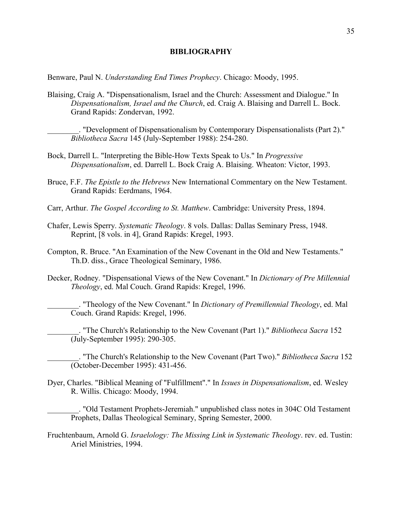# **BIBLIOGRAPHY**

Benware, Paul N. *Understanding End Times Prophecy*. Chicago: Moody, 1995.

Blaising, Craig A. "Dispensationalism, Israel and the Church: Assessment and Dialogue." In *Dispensationalism, Israel and the Church*, ed. Craig A. Blaising and Darrell L. Bock. Grand Rapids: Zondervan, 1992.

"Development of Dispensationalism by Contemporary Dispensationalists (Part 2)." *Bibliotheca Sacra* 145 (July-September 1988): 254-280.

- Bock, Darrell L. "Interpreting the Bible-How Texts Speak to Us." In *Progressive Dispensationalism*, ed. Darrell L. Bock Craig A. Blaising. Wheaton: Victor, 1993.
- Bruce, F.F. *The Epistle to the Hebrews* New International Commentary on the New Testament. Grand Rapids: Eerdmans, 1964.
- Carr, Arthur. *The Gospel According to St. Matthew*. Cambridge: University Press, 1894.
- Chafer, Lewis Sperry. *Systematic Theology*. 8 vols. Dallas: Dallas Seminary Press, 1948. Reprint, [8 vols. in 4], Grand Rapids: Kregel, 1993.
- Compton, R. Bruce. "An Examination of the New Covenant in the Old and New Testaments." Th.D. diss., Grace Theological Seminary, 1986.
- Decker, Rodney. "Dispensational Views of the New Covenant." In *Dictionary of Pre Millennial Theology*, ed. Mal Couch. Grand Rapids: Kregel, 1996.

\_\_\_\_\_\_\_\_. "Theology of the New Covenant." In *Dictionary of Premillennial Theology*, ed. Mal Couch. Grand Rapids: Kregel, 1996.

\_\_\_\_\_\_\_\_. "The Church's Relationship to the New Covenant (Part 1)." *Bibliotheca Sacra* 152 (July-September 1995): 290-305.

\_\_\_\_\_\_\_\_. "The Church's Relationship to the New Covenant (Part Two)." *Bibliotheca Sacra* 152 (October-December 1995): 431-456.

Dyer, Charles. "Biblical Meaning of "Fulfillment"." In *Issues in Dispensationalism*, ed. Wesley R. Willis. Chicago: Moody, 1994.

\_\_\_\_\_\_\_\_. "Old Testament Prophets-Jeremiah." unpublished class notes in 304C Old Testament Prophets, Dallas Theological Seminary, Spring Semester, 2000.

Fruchtenbaum, Arnold G. *Israelology: The Missing Link in Systematic Theology*. rev. ed. Tustin: Ariel Ministries, 1994.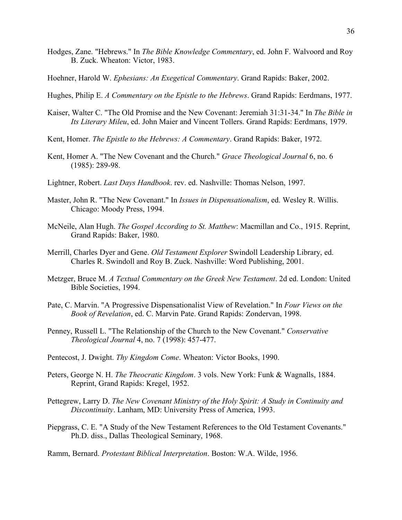- Hodges, Zane. "Hebrews." In *The Bible Knowledge Commentary*, ed. John F. Walvoord and Roy B. Zuck. Wheaton: Victor, 1983.
- Hoehner, Harold W. *Ephesians: An Exegetical Commentary*. Grand Rapids: Baker, 2002.
- Hughes, Philip E. *A Commentary on the Epistle to the Hebrews*. Grand Rapids: Eerdmans, 1977.
- Kaiser, Walter C. "The Old Promise and the New Covenant: Jeremiah 31:31-34." In *The Bible in Its Literary Mileu*, ed. John Maier and Vincent Tollers. Grand Rapids: Eerdmans, 1979.
- Kent, Homer. *The Epistle to the Hebrews: A Commentary*. Grand Rapids: Baker, 1972.
- Kent, Homer A. "The New Covenant and the Church." *Grace Theological Journal* 6, no. 6 (1985): 289-98.
- Lightner, Robert. *Last Days Handbook*. rev. ed. Nashville: Thomas Nelson, 1997.
- Master, John R. "The New Covenant." In *Issues in Dispensationalism*, ed. Wesley R. Willis. Chicago: Moody Press, 1994.
- McNeile, Alan Hugh. *The Gospel According to St. Matthew*: Macmillan and Co., 1915. Reprint, Grand Rapids: Baker, 1980.
- Merrill, Charles Dyer and Gene. *Old Testament Explorer* Swindoll Leadership Library, ed. Charles R. Swindoll and Roy B. Zuck. Nashville: Word Publishing, 2001.
- Metzger, Bruce M. *A Textual Commentary on the Greek New Testament*. 2d ed. London: United Bible Societies, 1994.
- Pate, C. Marvin. "A Progressive Dispensationalist View of Revelation." In *Four Views on the Book of Revelation*, ed. C. Marvin Pate. Grand Rapids: Zondervan, 1998.
- Penney, Russell L. "The Relationship of the Church to the New Covenant." *Conservative Theological Journal* 4, no. 7 (1998): 457-477.
- Pentecost, J. Dwight. *Thy Kingdom Come*. Wheaton: Victor Books, 1990.
- Peters, George N. H. *The Theocratic Kingdom*. 3 vols. New York: Funk & Wagnalls, 1884. Reprint, Grand Rapids: Kregel, 1952.
- Pettegrew, Larry D. *The New Covenant Ministry of the Holy Spirit: A Study in Continuity and Discontinuity*. Lanham, MD: University Press of America, 1993.
- Piepgrass, C. E. "A Study of the New Testament References to the Old Testament Covenants." Ph.D. diss., Dallas Theological Seminary, 1968.
- Ramm, Bernard. *Protestant Biblical Interpretation*. Boston: W.A. Wilde, 1956.